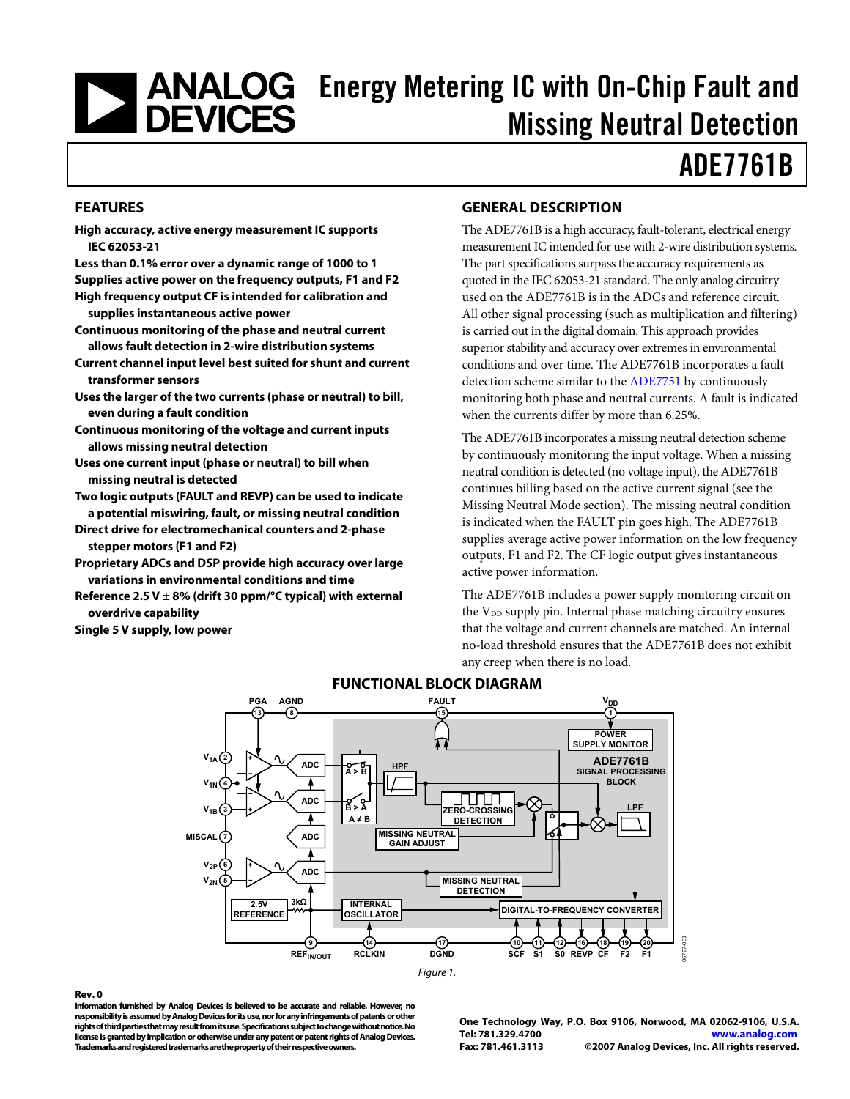# <span id="page-0-0"></span>**ENALOG** Energy Metering IC with On-Chip Fault and<br>Missing Neutral Detection Missing Neutral Detection

## ADE7761B

#### **FEATURES**

**High accuracy, active energy measurement IC supports IEC 62053-21** 

**Less than 0.1% error over a dynamic range of 1000 to 1 Supplies active power on the frequency outputs, F1 and F2 High frequency output CF is intended for calibration and** 

**supplies instantaneous active power Continuous monitoring of the phase and neutral current** 

**allows fault detection in 2-wire distribution systems** 

- **Current channel input level best suited for shunt and current transformer sensors**
- **Uses the larger of the two currents (phase or neutral) to bill, even during a fault condition**
- **Continuous monitoring of the voltage and current inputs allows missing neutral detection**
- **Uses one current input (phase or neutral) to bill when missing neutral is detected**

**Two logic outputs (FAULT and REVP) can be used to indicate a potential miswiring, fault, or missing neutral condition** 

- **Direct drive for electromechanical counters and 2-phase stepper motors (F1 and F2)**
- **Proprietary ADCs and DSP provide high accuracy over large variations in environmental conditions and time**
- **Reference 2.5 V ± 8% (drift 30 ppm/°C typical) with external overdrive capability**

**Single 5 V supply, low power** 

#### **GENERAL DESCRIPTION**

The ADE7761B is a high accuracy, fault-tolerant, electrical energy measurement IC intended for use with 2-wire distribution systems. The part specifications surpass the accuracy requirements as quoted in the IEC 62053-21 standard. The only analog circuitry used on the ADE7761B is in the ADCs and reference circuit. All other signal processing (such as multiplication and filtering) is carried out in the digital domain. This approach provides superior stability and accuracy over extremes in environmental conditions and over time. The ADE7761B incorporates a fault detection scheme similar to the [ADE7751](http://www.analog.com/ADE7751) by continuously monitoring both phase and neutral currents. A fault is indicated when the currents differ by more than 6.25%.

The ADE7761B incorporates a missing neutral detection scheme by continuously monitoring the input voltage. When a missing neutral condition is detected (no voltage input), the ADE7761B continues billing based on the active current signal (see the [Missing Neutral Mode](#page-17-0) section). The missing neutral condition is indicated when the FAULT pin goes high. The ADE7761B supplies average active power information on the low frequency outputs, F1 and F2. The CF logic output gives instantaneous active power information.

The ADE7761B includes a power supply monitoring circuit on the V<sub>DD</sub> supply pin. Internal phase matching circuitry ensures that the voltage and current channels are matched. An internal no-load threshold ensures that the ADE7761B does not exhibit any creep when there is no load.



#### **FUNCTIONAL BLOCK DIAGRAM**

#### **Rev. 0**

**Information furnished by Analog Devices is believed to be accurate and reliable. However, no responsibility is assumed by Analog Devices for its use, nor for any infringements of patents or other rights of third parties that may result from its use. Specifications subject to change without notice. No license is granted by implication or otherwise under any patent or patent rights of Analog Devices. Trademarks and registered trademarks are the property of their respective owners.** 

**One Technology Way, P.O. Box 9106, Norwood, MA 02062-9106, U.S.A. Tel: 781.329.4700 www.analog.com Fax: 781.461.3113 ©2007 Analog Devices, Inc. All rights reserved.**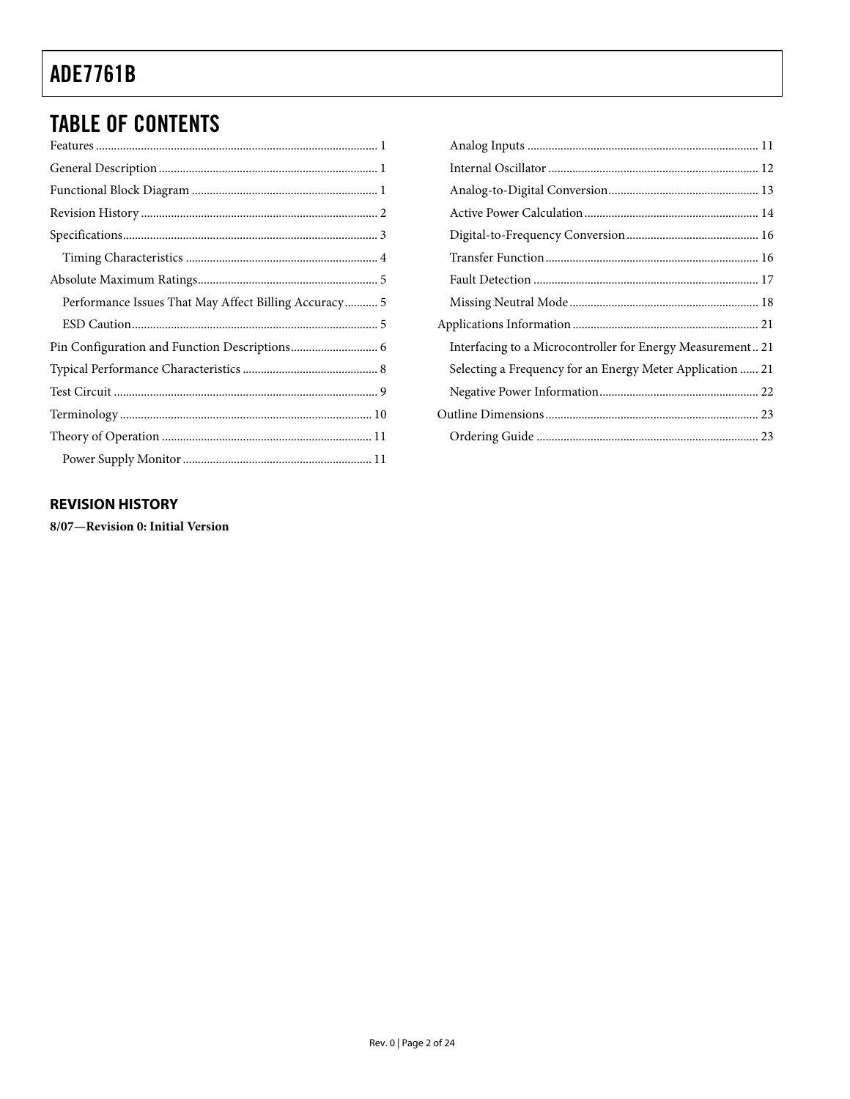### <span id="page-1-0"></span>**TABLE OF CONTENTS**

| Performance Issues That May Affect Billing Accuracy 5 |
|-------------------------------------------------------|
|                                                       |
|                                                       |
|                                                       |
|                                                       |
|                                                       |
|                                                       |
|                                                       |

| Interfacing to a Microcontroller for Energy Measurement 21 |
|------------------------------------------------------------|
| Selecting a Frequency for an Energy Meter Application  21  |
|                                                            |
|                                                            |
|                                                            |

#### **REVISION HISTORY**

8/07-Revision 0: Initial Version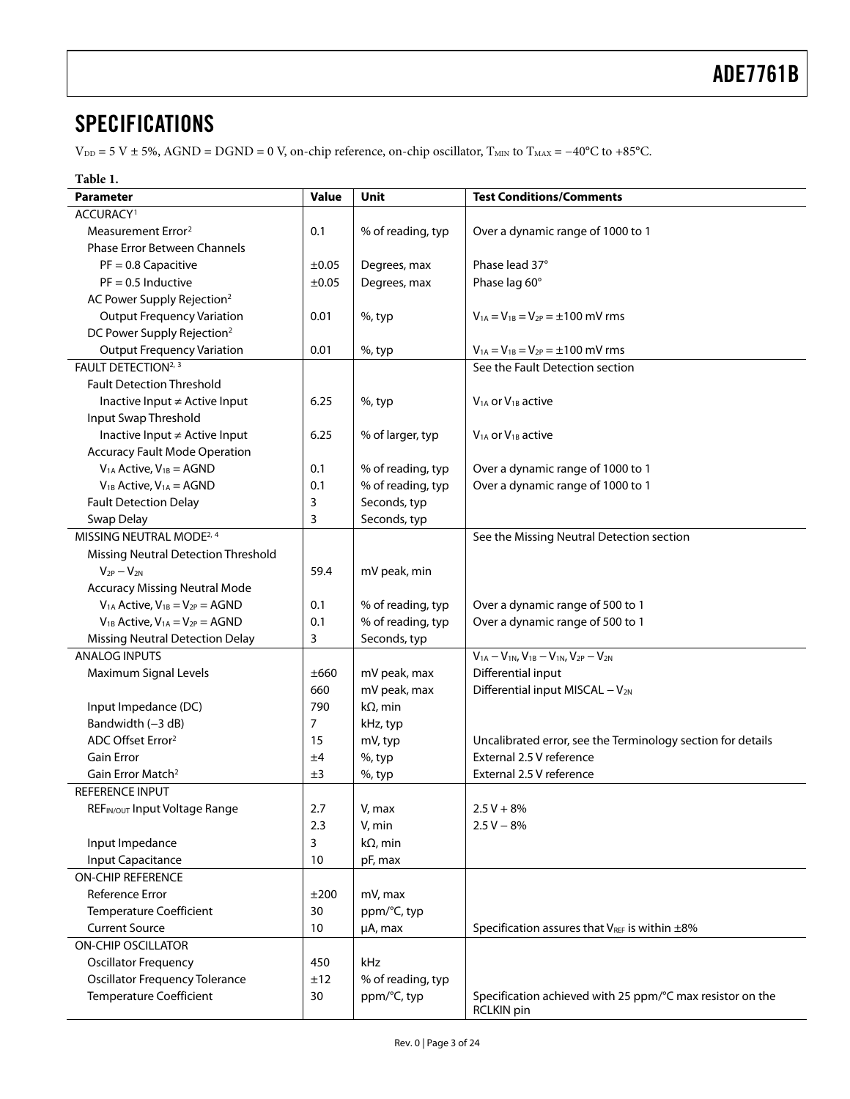### <span id="page-2-0"></span>**SPECIFICATIONS**

 $V_{DD} = 5 V \pm 5\%$ , AGND = DGND = 0 V, on-chip reference, on-chip oscillator, T<sub>MIN</sub> to T<sub>MAX</sub> = -40°C to +85°C.

#### **Table 1.**

<span id="page-2-1"></span>

| Parameter                                  | Value          | <b>Unit</b>       | <b>Test Conditions/Comments</b>                                                |
|--------------------------------------------|----------------|-------------------|--------------------------------------------------------------------------------|
| ACCURACY <sup>1</sup>                      |                |                   |                                                                                |
| Measurement Error <sup>2</sup>             | 0.1            | % of reading, typ | Over a dynamic range of 1000 to 1                                              |
| <b>Phase Error Between Channels</b>        |                |                   |                                                                                |
| $PF = 0.8$ Capacitive                      | ±0.05          | Degrees, max      | Phase lead 37°                                                                 |
| $PF = 0.5$ Inductive                       | ±0.05          | Degrees, max      | Phase lag 60°                                                                  |
| AC Power Supply Rejection <sup>2</sup>     |                |                   |                                                                                |
| <b>Output Frequency Variation</b>          | 0.01           | $%$ , typ         | $V_{1A} = V_{1B} = V_{2P} = \pm 100$ mV rms                                    |
| DC Power Supply Rejection <sup>2</sup>     |                |                   |                                                                                |
| <b>Output Frequency Variation</b>          | 0.01           | $%$ , typ         | $V_{1A} = V_{1B} = V_{2P} = \pm 100$ mV rms                                    |
| FAULT DETECTION <sup>2, 3</sup>            |                |                   | See the Fault Detection section                                                |
| <b>Fault Detection Threshold</b>           |                |                   |                                                                                |
| Inactive Input ≠ Active Input              | 6.25           | $%$ , typ         | $V1A$ or $V1B$ active                                                          |
| Input Swap Threshold                       |                |                   |                                                                                |
| Inactive Input ≠ Active Input              | 6.25           | % of larger, typ  | $V1A$ or $V1B$ active                                                          |
| <b>Accuracy Fault Mode Operation</b>       |                |                   |                                                                                |
| $V1A$ Active, $V1B = AGND$                 | 0.1            | % of reading, typ | Over a dynamic range of 1000 to 1                                              |
| $V_{1B}$ Active, $V_{1A} = AGND$           | 0.1            | % of reading, typ | Over a dynamic range of 1000 to 1                                              |
| <b>Fault Detection Delay</b>               | 3              | Seconds, typ      |                                                                                |
| Swap Delay                                 | 3              | Seconds, typ      |                                                                                |
| MISSING NEUTRAL MODE <sup>2, 4</sup>       |                |                   | See the Missing Neutral Detection section                                      |
| <b>Missing Neutral Detection Threshold</b> |                |                   |                                                                                |
| $V_{2P} - V_{2N}$                          | 59.4           | mV peak, min      |                                                                                |
| <b>Accuracy Missing Neutral Mode</b>       |                |                   |                                                                                |
| $V_{1A}$ Active, $V_{1B} = V_{2P} = AGND$  | 0.1            | % of reading, typ | Over a dynamic range of 500 to 1                                               |
| $V_{1B}$ Active, $V_{1A} = V_{2P} = AGND$  | 0.1            | % of reading, typ | Over a dynamic range of 500 to 1                                               |
| <b>Missing Neutral Detection Delay</b>     | 3              | Seconds, typ      |                                                                                |
| <b>ANALOG INPUTS</b>                       |                |                   | $V_{1A} - V_{1N}$ , $V_{1B} - V_{1N}$ , $V_{2P} - V_{2N}$                      |
| Maximum Signal Levels                      | ±660           | mV peak, max      | Differential input                                                             |
|                                            | 660            | mV peak, max      | Differential input MISCAL - V <sub>2N</sub>                                    |
| Input Impedance (DC)                       | 790            | $k\Omega$ , min   |                                                                                |
| Bandwidth (-3 dB)                          | $\overline{7}$ | kHz, typ          |                                                                                |
| ADC Offset Error <sup>2</sup>              | 15             | mV, typ           | Uncalibrated error, see the Terminology section for details                    |
| <b>Gain Error</b>                          | ±4             | $%$ , typ         | External 2.5 V reference                                                       |
| Gain Error Match <sup>2</sup>              | $\pm 3$        | %, typ            | External 2.5 V reference                                                       |
| <b>REFERENCE INPUT</b>                     |                |                   |                                                                                |
| REFIN/OUT Input Voltage Range              | 2.7            | V, max            | $2.5 V + 8%$                                                                   |
|                                            | 2.3            | V, min            | $2.5 V - 8%$                                                                   |
| Input Impedance                            | 3              | $k\Omega$ , min   |                                                                                |
| <b>Input Capacitance</b>                   | 10             | pF, max           |                                                                                |
| ON-CHIP REFERENCE                          |                |                   |                                                                                |
| Reference Error                            | ±200           | mV, max           |                                                                                |
| <b>Temperature Coefficient</b>             | 30             | ppm/°C, typ       |                                                                                |
| <b>Current Source</b>                      | 10             | µA, max           | Specification assures that $V_{REF}$ is within $\pm 8\%$                       |
| <b>ON-CHIP OSCILLATOR</b>                  |                |                   |                                                                                |
| Oscillator Frequency                       | 450            | kHz               |                                                                                |
| <b>Oscillator Frequency Tolerance</b>      | ±12            | % of reading, typ |                                                                                |
| <b>Temperature Coefficient</b>             | 30             | ppm/°C, typ       | Specification achieved with 25 ppm/°C max resistor on the<br><b>RCLKIN</b> pin |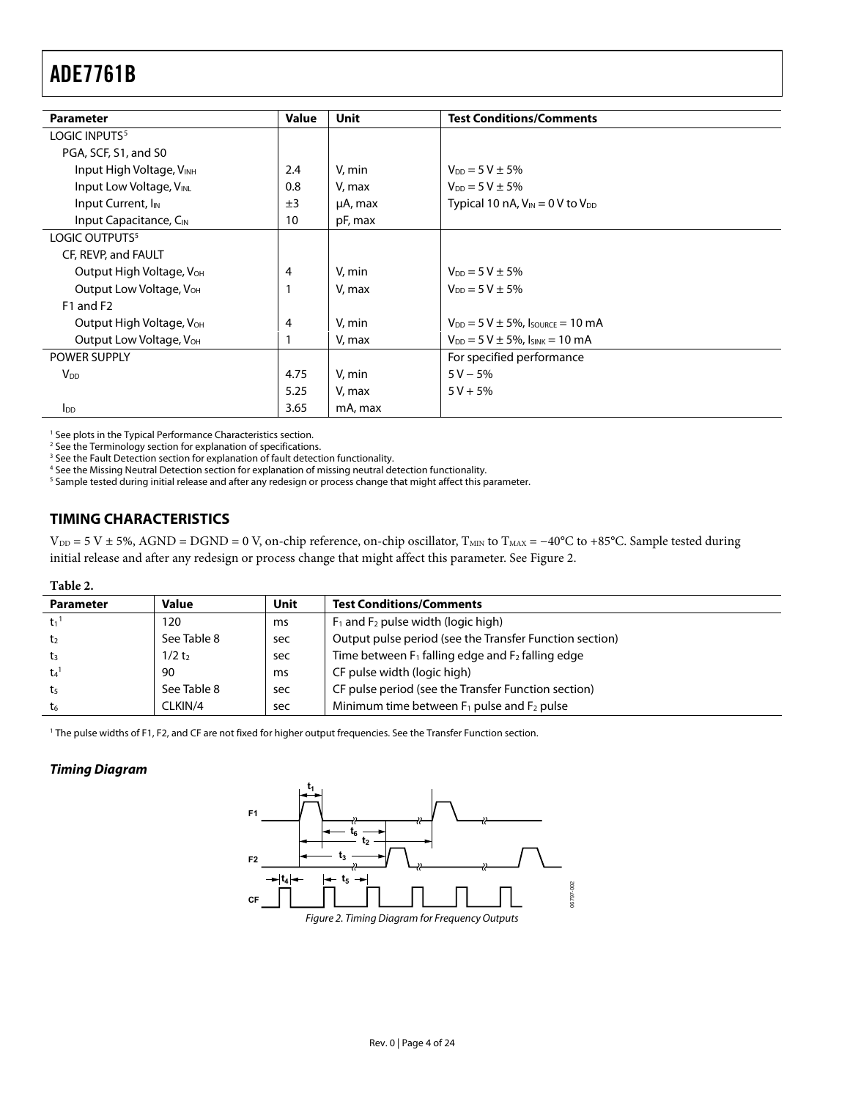<span id="page-3-1"></span><span id="page-3-0"></span>

| <b>Parameter</b>                     | Value | Unit    | <b>Test Conditions/Comments</b>             |
|--------------------------------------|-------|---------|---------------------------------------------|
| LOGIC INPUTS <sup>5</sup>            |       |         |                                             |
| PGA, SCF, S1, and S0                 |       |         |                                             |
| Input High Voltage, VINH             | 2.4   | V. min  | $V_{DD} = 5 V \pm 5\%$                      |
| Input Low Voltage, VINL              | 0.8   | V, max  | $V_{DD} = 5 V \pm 5\%$                      |
| Input Current, I <sub>IN</sub>       | ±3    | µA, max | Typical 10 nA, $V_{IN} = 0$ V to $V_{DD}$   |
| Input Capacitance, C <sub>IN</sub>   | 10    | pF, max |                                             |
| LOGIC OUTPUTS <sup>5</sup>           |       |         |                                             |
| CF, REVP, and FAULT                  |       |         |                                             |
| Output High Voltage, V <sub>OH</sub> | 4     | V, min  | $V_{DD} = 5 V \pm 5\%$                      |
| Output Low Voltage, V <sub>OH</sub>  |       | V, max  | $V_{DD} = 5 V \pm 5\%$                      |
| F1 and F2                            |       |         |                                             |
| Output High Voltage, V <sub>OH</sub> | 4     | V, min  | $V_{DD} = 5 V \pm 5\%$ , Isource = 10 mA    |
| Output Low Voltage, V <sub>OH</sub>  |       | V, max  | $V_{DD} = 5 V \pm 5\%$ , $I_{SINK} = 10 mA$ |
| <b>POWER SUPPLY</b>                  |       |         | For specified performance                   |
| <b>V</b> <sub>DD</sub>               | 4.75  | V, min  | $5 V - 5%$                                  |
|                                      | 5.25  | V, max  | $5 V + 5%$                                  |
| <b>I</b> <sub>DD</sub>               | 3.65  | mA, max |                                             |

<sup>1</sup> See plots in the [Typical Performance Characteristics s](#page-7-1)ection.

<sup>2</sup> See th[e Terminology s](#page-9-2)ection for explanation of specifications.<br><sup>3</sup> See the Fault Detection section for explanation of fault detecti

<sup>3</sup> See th[e Fault Detection](#page-16-3) section for explanation of fault detection functionality.

<sup>4</sup> See th[e Missing Neutral Detection](#page-18-1) section for explanation of missing neutral detection functionality.<br><sup>5</sup> Sample tested during initial release and after any redesign or process change that might affect this parameter.

#### **TIMING CHARACTERISTICS**

 $V_{DD} = 5 V \pm 5\%$ , AGND = DGND = 0 V, on-chip reference, on-chip oscillator, T<sub>MIN</sub> to T<sub>MAX</sub> = -40°C to +85°C. Sample tested during initial release and after any redesign or process change that might affect this parameter. See [Figure 2](#page-3-2).

#### **Table 2.**

| <b>Parameter</b>    | <b>Value</b>      | Unit | <b>Test Conditions/Comments</b>                         |
|---------------------|-------------------|------|---------------------------------------------------------|
| $-t_1$ <sup>1</sup> | 120               | ms   | $F_1$ and $F_2$ pulse width (logic high)                |
| t <sub>2</sub>      | See Table 8       | sec  | Output pulse period (see the Transfer Function section) |
| tз                  | 1/2t <sub>2</sub> | sec  | Time between $F_1$ falling edge and $F_2$ falling edge  |
| $t_4$ <sup>1</sup>  | 90                | ms   | CF pulse width (logic high)                             |
| t5                  | See Table 8       | sec  | CF pulse period (see the Transfer Function section)     |
| t <sub>6</sub>      | CLKIN/4           | sec  | Minimum time between $F_1$ pulse and $F_2$ pulse        |

1 The pulse widths of F1, F2, and CF are not fixed for higher output frequencies. See th[e Transfer Function s](#page-15-2)ection.

#### <span id="page-3-2"></span>**Timing Diagram**

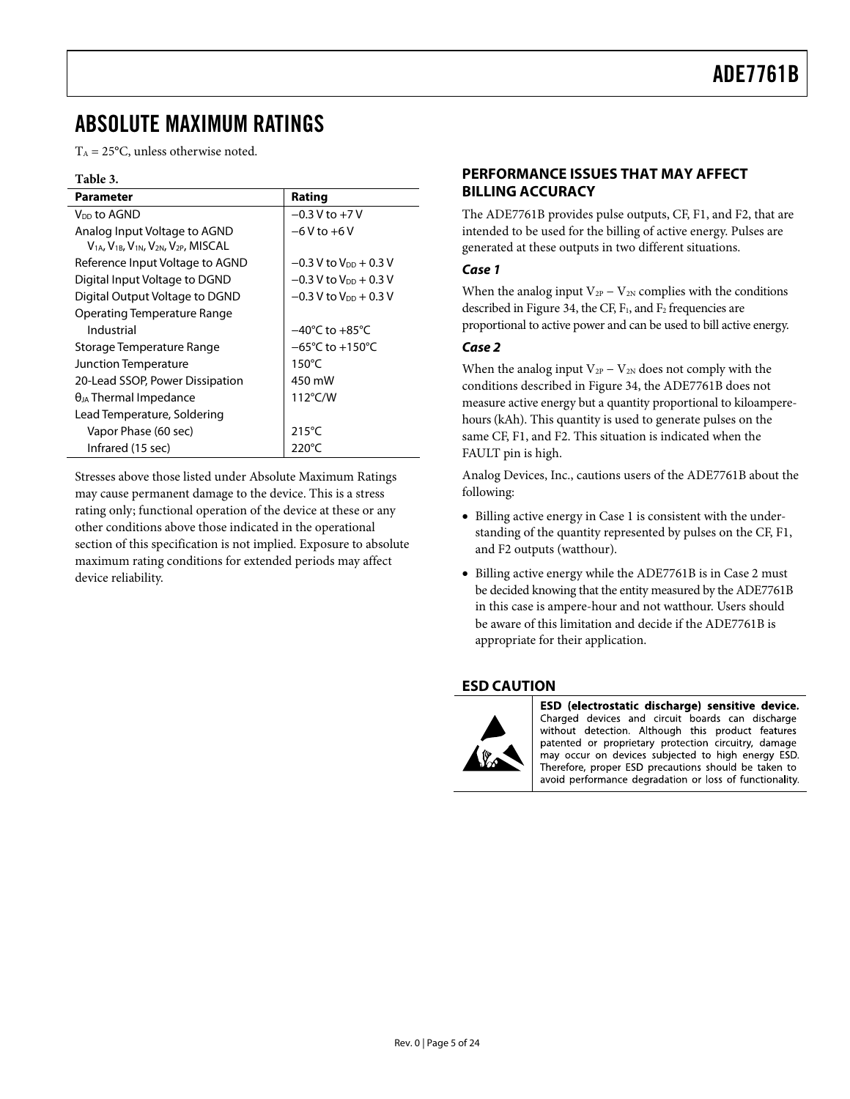### <span id="page-4-0"></span>ABSOLUTE MAXIMUM RATINGS

 $T_A = 25^{\circ}$ C, unless otherwise noted.

#### **Table 3.**

| <b>Parameter</b>                                                                              | Rating                               |
|-----------------------------------------------------------------------------------------------|--------------------------------------|
| V <sub>DD</sub> to AGND                                                                       | $-0.3$ V to $+7$ V                   |
| Analog Input Voltage to AGND<br>$V_{1A}$ , $V_{1B}$ , $V_{1N}$ , $V_{2N}$ , $V_{2P}$ , MISCAL | $-6V$ to $+6V$                       |
| Reference Input Voltage to AGND                                                               | $-0.3$ V to V <sub>DD</sub> $+0.3$ V |
| Digital Input Voltage to DGND                                                                 | $-0.3$ V to V <sub>DD</sub> + 0.3 V  |
| Digital Output Voltage to DGND                                                                | $-0.3$ V to V <sub>DD</sub> $+0.3$ V |
| Operating Temperature Range                                                                   |                                      |
| Industrial                                                                                    | $-40^{\circ}$ C to $+85^{\circ}$ C   |
| Storage Temperature Range                                                                     | $-65^{\circ}$ C to $+150^{\circ}$ C  |
| Junction Temperature                                                                          | $150^{\circ}$ C                      |
| 20-Lead SSOP, Power Dissipation                                                               | 450 mW                               |
| $\theta_{JA}$ Thermal Impedance                                                               | $112^{\circ}$ C/W                    |
| Lead Temperature, Soldering                                                                   |                                      |
| Vapor Phase (60 sec)                                                                          | $215^{\circ}$ C                      |
| Infrared (15 sec)                                                                             | 220°C                                |

Stresses above those listed under Absolute Maximum Ratings may cause permanent damage to the device. This is a stress rating only; functional operation of the device at these or any other conditions above those indicated in the operational section of this specification is not implied. Exposure to absolute maximum rating conditions for extended periods may affect device reliability.

#### **PERFORMANCE ISSUES THAT MAY AFFECT BILLING ACCURACY**

The ADE7761B provides pulse outputs, CF, F1, and F2, that are intended to be used for the billing of active energy. Pulses are generated at these outputs in two different situations.

#### **Case 1**

When the analog input  $V_{2P} - V_{2N}$  complies with the conditions described in [Figure 34,](#page-18-2) the CF,  $F_1$ , and  $F_2$  frequencies are proportional to active power and can be used to bill active energy.

#### **Case 2**

When the analog input  $V_{2P} - V_{2N}$  does not comply with the conditions described in [Figure 34,](#page-18-2) the ADE7761B does not measure active energy but a quantity proportional to kiloamperehours (kAh). This quantity is used to generate pulses on the same CF, F1, and F2. This situation is indicated when the FAULT pin is high.

Analog Devices, Inc., cautions users of the ADE7761B about the following:

- Billing active energy in Case 1 is consistent with the understanding of the quantity represented by pulses on the CF, F1, and F2 outputs (watthour).
- Billing active energy while the ADE7761B is in Case 2 must be decided knowing that the entity measured by the ADE7761B in this case is ampere-hour and not watthour. Users should be aware of this limitation and decide if the ADE7761B is appropriate for their application.

#### **ESD CAUTION**



ESD (electrostatic discharge) sensitive device. Charged devices and circuit boards can discharge without detection. Although this product features patented or proprietary protection circuitry, damage may occur on devices subjected to high energy ESD. Therefore, proper ESD precautions should be taken to avoid performance degradation or loss of functionality.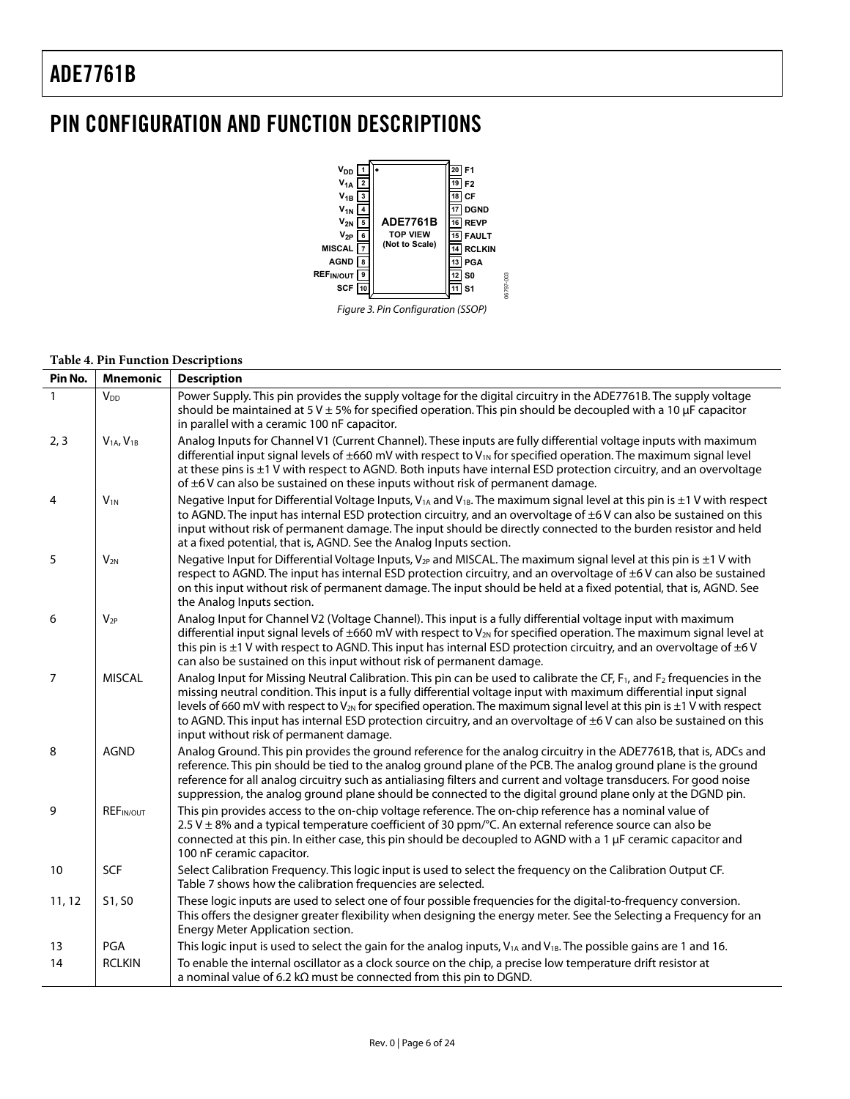### <span id="page-5-0"></span>PIN CONFIGURATION AND FUNCTION DESCRIPTIONS





#### **Table 4. Pin Function Descriptions**

| Pin No.        | <b>Mnemonic</b>                   | <b>Description</b>                                                                                                                                                                                                                                                                                                                                                                                                                                                                                                                                                          |
|----------------|-----------------------------------|-----------------------------------------------------------------------------------------------------------------------------------------------------------------------------------------------------------------------------------------------------------------------------------------------------------------------------------------------------------------------------------------------------------------------------------------------------------------------------------------------------------------------------------------------------------------------------|
| $\mathbf{1}$   | <b>V</b> <sub>DD</sub>            | Power Supply. This pin provides the supply voltage for the digital circuitry in the ADE7761B. The supply voltage<br>should be maintained at 5 V $\pm$ 5% for specified operation. This pin should be decoupled with a 10 $\mu$ F capacitor<br>in parallel with a ceramic 100 nF capacitor.                                                                                                                                                                                                                                                                                  |
| 2, 3           | V <sub>1A</sub> , V <sub>1B</sub> | Analog Inputs for Channel V1 (Current Channel). These inputs are fully differential voltage inputs with maximum<br>differential input signal levels of $\pm 660$ mV with respect to V <sub>1N</sub> for specified operation. The maximum signal level<br>at these pins is $\pm 1$ V with respect to AGND. Both inputs have internal ESD protection circuitry, and an overvoltage<br>of $\pm$ 6 V can also be sustained on these inputs without risk of permanent damage.                                                                                                    |
| 4              | $V_{1N}$                          | Negative Input for Differential Voltage Inputs, $V_{1A}$ and $V_{1B}$ . The maximum signal level at this pin is $\pm 1$ V with respect<br>to AGND. The input has internal ESD protection circuitry, and an overvoltage of ±6V can also be sustained on this<br>input without risk of permanent damage. The input should be directly connected to the burden resistor and held<br>at a fixed potential, that is, AGND. See the Analog Inputs section.                                                                                                                        |
| 5              | $V_{2N}$                          | Negative Input for Differential Voltage Inputs, $V_{2P}$ and MISCAL. The maximum signal level at this pin is $\pm 1$ V with<br>respect to AGND. The input has internal ESD protection circuitry, and an overvoltage of $\pm 6$ V can also be sustained<br>on this input without risk of permanent damage. The input should be held at a fixed potential, that is, AGND. See<br>the Analog Inputs section.                                                                                                                                                                   |
| 6              | $V_{2P}$                          | Analog Input for Channel V2 (Voltage Channel). This input is a fully differential voltage input with maximum<br>differential input signal levels of $\pm 660$ mV with respect to V <sub>2N</sub> for specified operation. The maximum signal level at<br>this pin is $\pm 1$ V with respect to AGND. This input has internal ESD protection circuitry, and an overvoltage of $\pm 6$ V<br>can also be sustained on this input without risk of permanent damage.                                                                                                             |
| $\overline{7}$ | <b>MISCAL</b>                     | Analog Input for Missing Neutral Calibration. This pin can be used to calibrate the CF, F <sub>1</sub> , and F <sub>2</sub> frequencies in the<br>missing neutral condition. This input is a fully differential voltage input with maximum differential input signal<br>levels of 660 mV with respect to $V_{2N}$ for specified operation. The maximum signal level at this pin is $\pm 1$ V with respect<br>to AGND. This input has internal ESD protection circuitry, and an overvoltage of ±6 V can also be sustained on this<br>input without risk of permanent damage. |
| 8              | <b>AGND</b>                       | Analog Ground. This pin provides the ground reference for the analog circuitry in the ADE7761B, that is, ADCs and<br>reference. This pin should be tied to the analog ground plane of the PCB. The analog ground plane is the ground<br>reference for all analog circuitry such as antialiasing filters and current and voltage transducers. For good noise<br>suppression, the analog ground plane should be connected to the digital ground plane only at the DGND pin.                                                                                                   |
| 9              | REF <sub>IN/OUT</sub>             | This pin provides access to the on-chip voltage reference. The on-chip reference has a nominal value of<br>$2.5$ V $\pm$ 8% and a typical temperature coefficient of 30 ppm/ $\degree$ C. An external reference source can also be<br>connected at this pin. In either case, this pin should be decoupled to AGND with a 1 µF ceramic capacitor and<br>100 nF ceramic capacitor.                                                                                                                                                                                            |
| 10             | SCF                               | Select Calibration Frequency. This logic input is used to select the frequency on the Calibration Output CF.<br>Table 7 shows how the calibration frequencies are selected.                                                                                                                                                                                                                                                                                                                                                                                                 |
| 11, 12         | S1, S0                            | These logic inputs are used to select one of four possible frequencies for the digital-to-frequency conversion.<br>This offers the designer greater flexibility when designing the energy meter. See the Selecting a Frequency for an<br>Energy Meter Application section.                                                                                                                                                                                                                                                                                                  |
| 13             | PGA                               | This logic input is used to select the gain for the analog inputs, V <sub>1A</sub> and V <sub>1B</sub> . The possible gains are 1 and 16.                                                                                                                                                                                                                                                                                                                                                                                                                                   |
| 14             | <b>RCLKIN</b>                     | To enable the internal oscillator as a clock source on the chip, a precise low temperature drift resistor at<br>a nominal value of 6.2 k $\Omega$ must be connected from this pin to DGND.                                                                                                                                                                                                                                                                                                                                                                                  |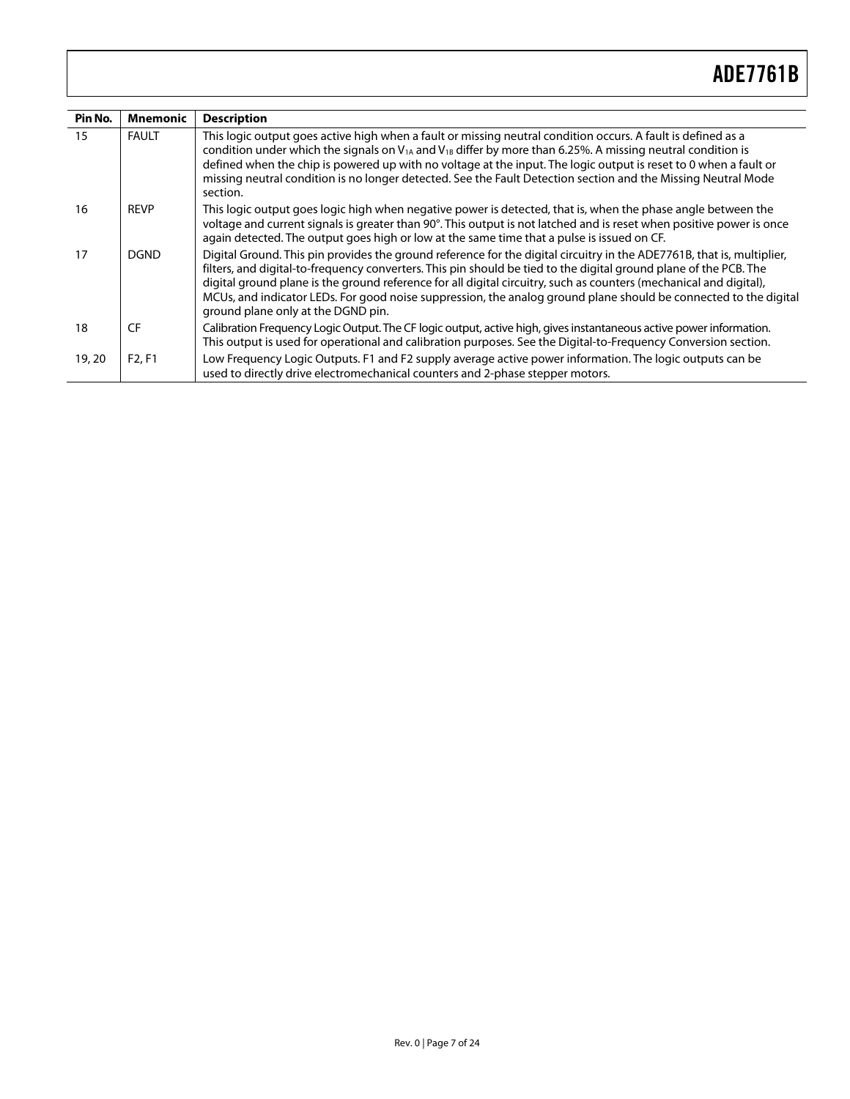| Pin No. | Mnemonic                        | <b>Description</b>                                                                                                                                                                                                                                                                                                                                                                                                                                                                                                          |
|---------|---------------------------------|-----------------------------------------------------------------------------------------------------------------------------------------------------------------------------------------------------------------------------------------------------------------------------------------------------------------------------------------------------------------------------------------------------------------------------------------------------------------------------------------------------------------------------|
| 15      | <b>FAULT</b>                    | This logic output goes active high when a fault or missing neutral condition occurs. A fault is defined as a<br>condition under which the signals on $V_{1A}$ and $V_{1B}$ differ by more than 6.25%. A missing neutral condition is<br>defined when the chip is powered up with no voltage at the input. The logic output is reset to 0 when a fault or<br>missing neutral condition is no longer detected. See the Fault Detection section and the Missing Neutral Mode<br>section.                                       |
| 16      | <b>REVP</b>                     | This logic output goes logic high when negative power is detected, that is, when the phase angle between the<br>voltage and current signals is greater than 90°. This output is not latched and is reset when positive power is once<br>again detected. The output goes high or low at the same time that a pulse is issued on CF.                                                                                                                                                                                          |
| 17      | <b>DGND</b>                     | Digital Ground. This pin provides the ground reference for the digital circuitry in the ADE7761B, that is, multiplier,<br>filters, and digital-to-frequency converters. This pin should be tied to the digital ground plane of the PCB. The<br>digital ground plane is the ground reference for all digital circuitry, such as counters (mechanical and digital),<br>MCUs, and indicator LEDs. For good noise suppression, the analog ground plane should be connected to the digital<br>ground plane only at the DGND pin. |
| 18      | <b>CF</b>                       | Calibration Frequency Logic Output. The CF logic output, active high, gives instantaneous active power information.<br>This output is used for operational and calibration purposes. See the Digital-to-Frequency Conversion section.                                                                                                                                                                                                                                                                                       |
| 19, 20  | F <sub>2</sub> , F <sub>1</sub> | Low Frequency Logic Outputs. F1 and F2 supply average active power information. The logic outputs can be<br>used to directly drive electromechanical counters and 2-phase stepper motors.                                                                                                                                                                                                                                                                                                                                   |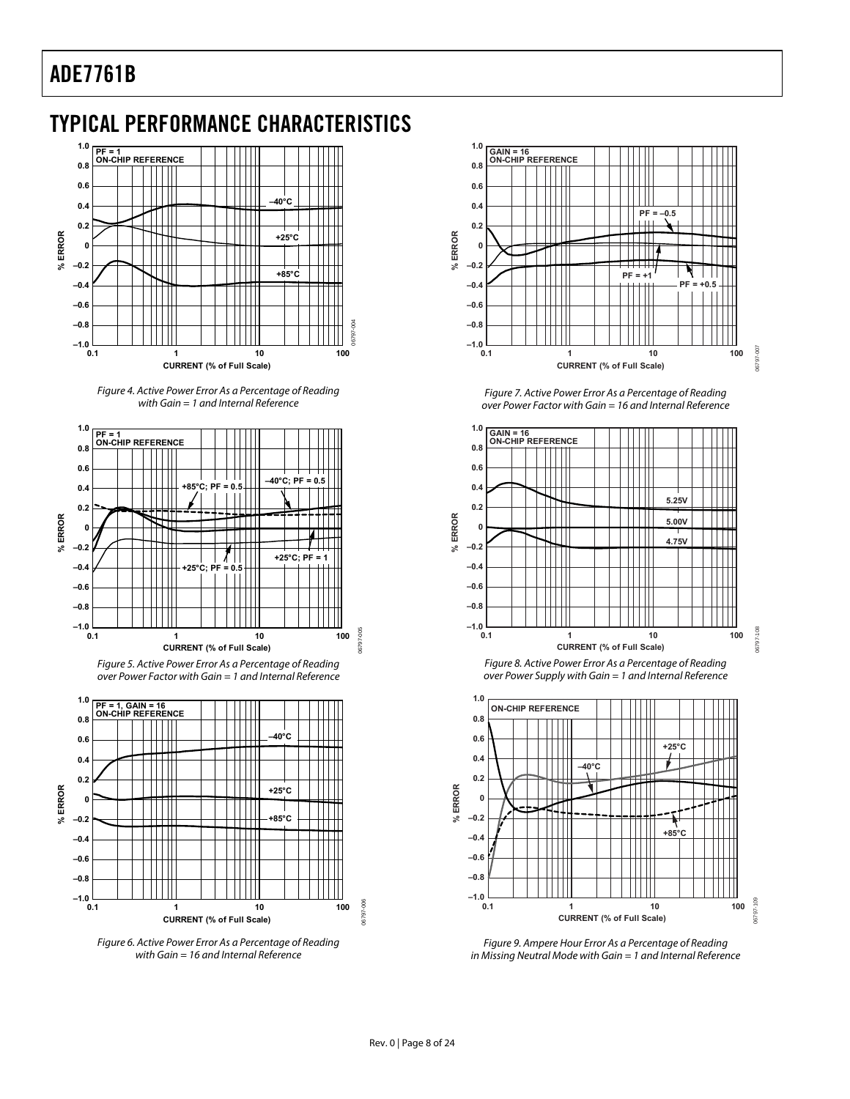### <span id="page-7-2"></span><span id="page-7-1"></span><span id="page-7-0"></span>TYPICAL PERFORMANCE CHARACTERISTICS



Figure 4. Active Power Error As a Percentage of Reading with Gain = 1 and Internal Reference



Figure 5. Active Power Error As a Percentage of Reading over Power Factor with Gain = 1 and Internal Reference



Figure 6. Active Power Error As a Percentage of Reading with Gain = 16 and Internal Reference



Figure 7. Active Power Error As a Percentage of Reading over Power Factor with Gain = 16 and Internal Reference





06797-108



Figure 9. Ampere Hour Error As a Percentage of Reading in Missing Neutral Mode with Gain = 1 and Internal Reference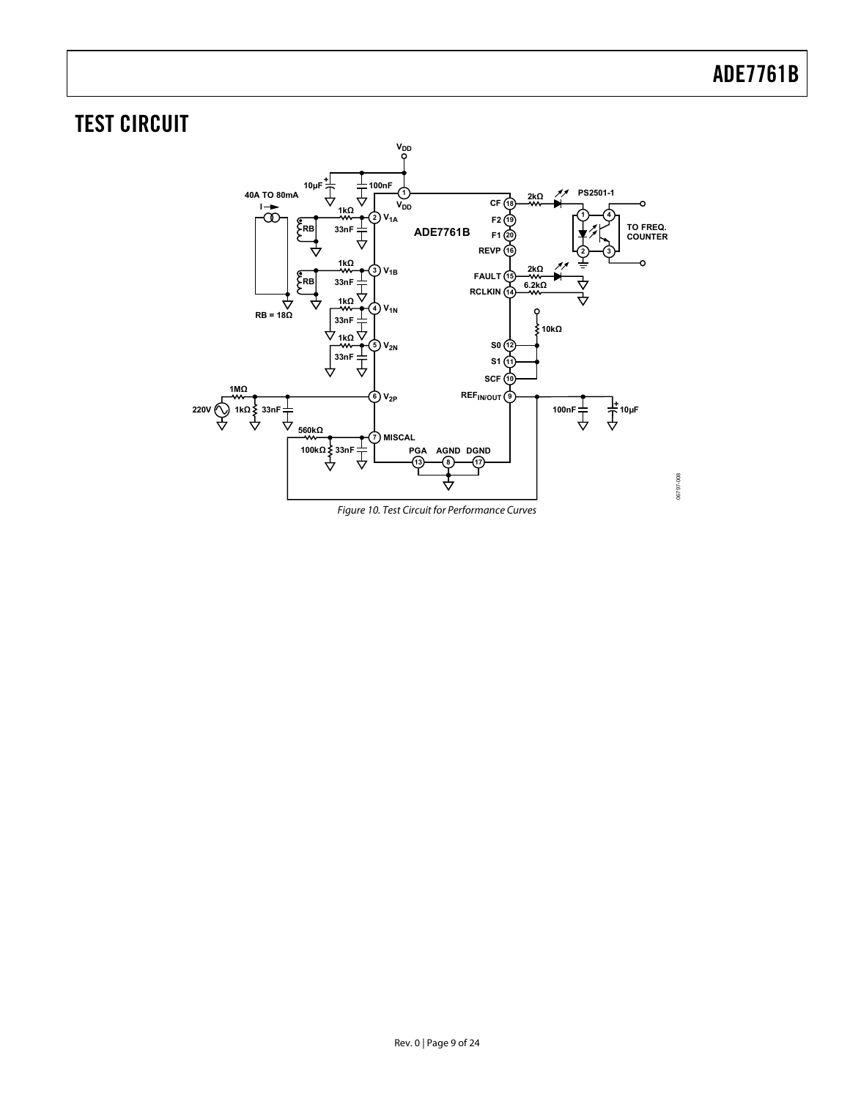### <span id="page-8-0"></span>TEST CIRCUIT



Figure 10. Test Circuit for Performance Curves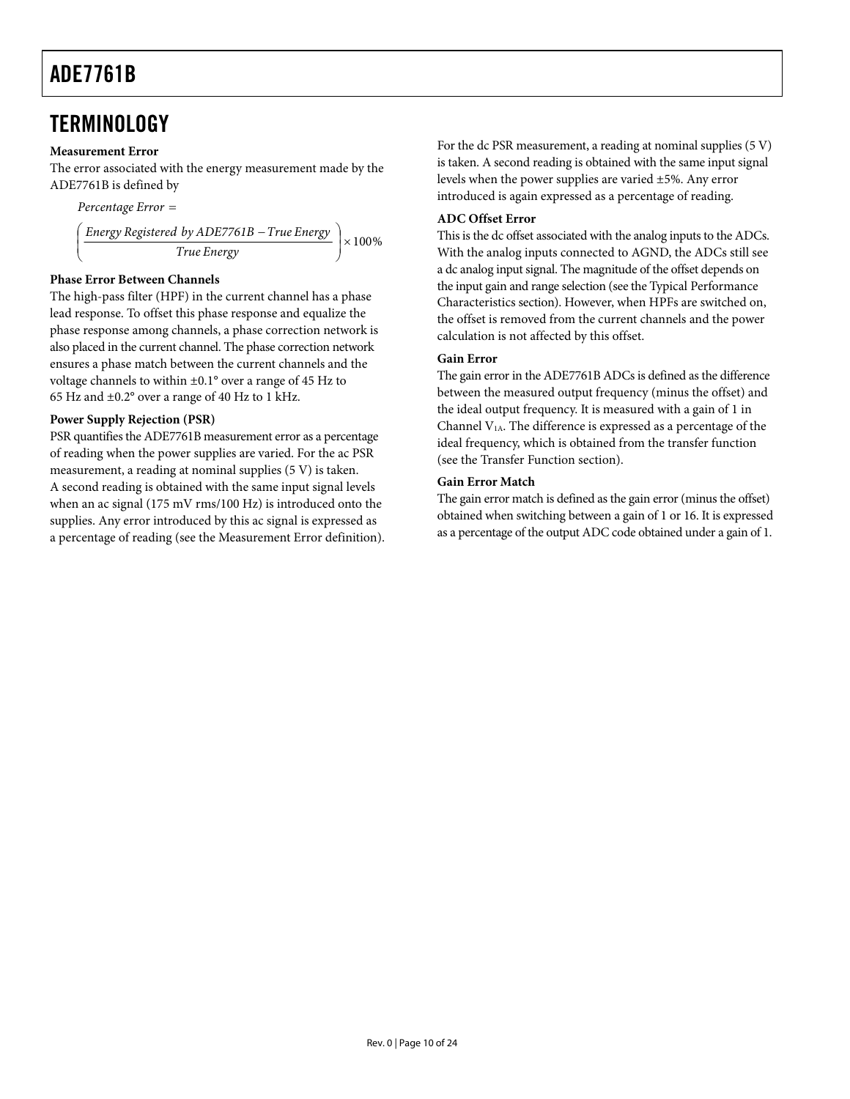### <span id="page-9-2"></span><span id="page-9-1"></span><span id="page-9-0"></span>**TERMINOLOGY**

#### **Measurement Error**

The error associated with the energy measurement made by the ADE7761B is defined by

$$
Percentage Error =
$$
\n
$$
\left(\frac{Energy \text{ Registered by ADE7761B} - True \text{Energy}}{True \text{Energy}}\right) \times 100\%
$$

#### **Phase Error Between Channels**

The high-pass filter (HPF) in the current channel has a phase lead response. To offset this phase response and equalize the phase response among channels, a phase correction network is also placed in the current channel. The phase correction network ensures a phase match between the current channels and the voltage channels to within ±0.1° over a range of 45 Hz to 65 Hz and ±0.2° over a range of 40 Hz to 1 kHz.

#### **Power Supply Rejection (PSR)**

PSR quantifies the ADE7761B measurement error as a percentage of reading when the power supplies are varied. For the ac PSR measurement, a reading at nominal supplies (5 V) is taken. A second reading is obtained with the same input signal levels when an ac signal (175 mV rms/100 Hz) is introduced onto the supplies. Any error introduced by this ac signal is expressed as a percentage of reading (see the Measurement Error definition). For the dc PSR measurement, a reading at nominal supplies (5 V) is taken. A second reading is obtained with the same input signal levels when the power supplies are varied ±5%. Any error introduced is again expressed as a percentage of reading.

#### **ADC Offset Error**

This is the dc offset associated with the analog inputs to the ADCs. With the analog inputs connected to AGND, the ADCs still see a dc analog input signal. The magnitude of the offset depends on the input gain and range selection (see the [Typical Performance](#page-7-2)  [Characteristics](#page-7-2) section). However, when HPFs are switched on, the offset is removed from the current channels and the power calculation is not affected by this offset.

#### **Gain Error**

The gain error in the ADE7761B ADCs is defined as the difference between the measured output frequency (minus the offset) and the ideal output frequency. It is measured with a gain of 1 in Channel V1A. The difference is expressed as a percentage of the ideal frequency, which is obtained from the transfer function (see the [Transfer Function](#page-15-1) section).

#### **Gain Error Match**

The gain error match is defined as the gain error (minus the offset) obtained when switching between a gain of 1 or 16. It is expressed as a percentage of the output ADC code obtained under a gain of 1.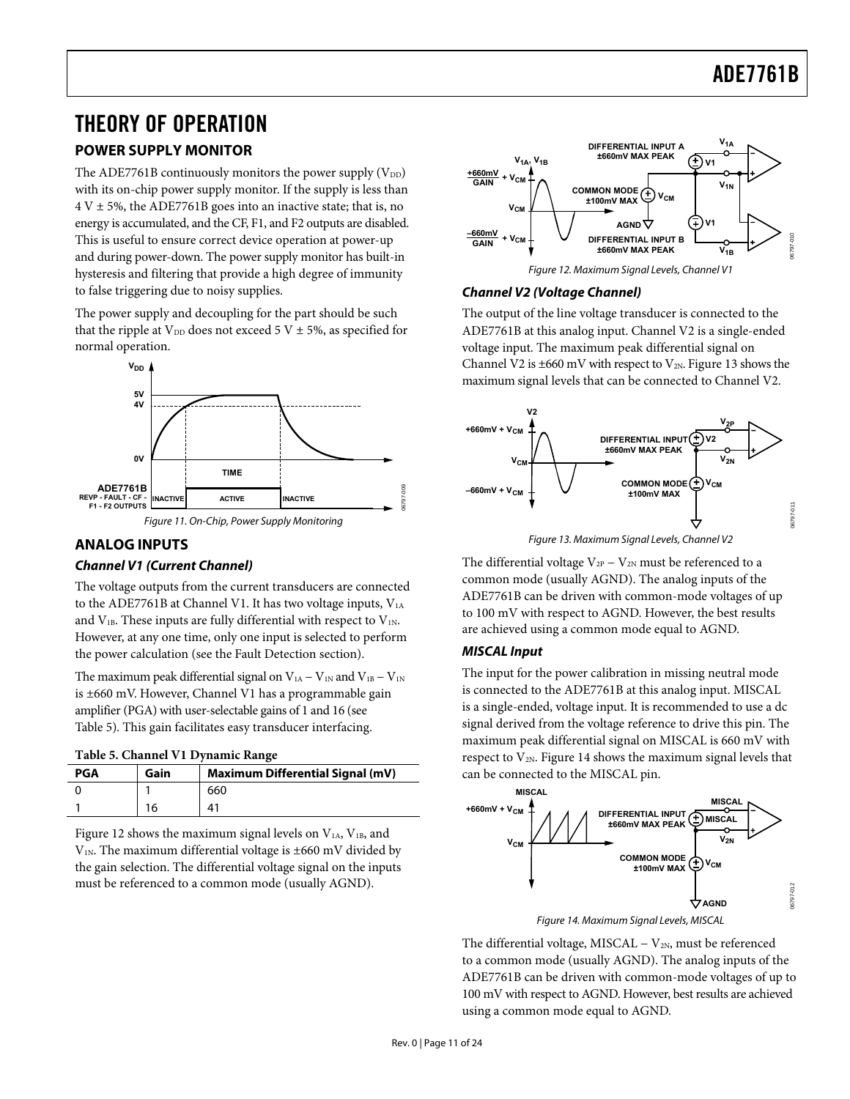### <span id="page-10-0"></span>THEORY OF OPERATION

#### **POWER SUPPLY MONITOR**

The ADE7761B continuously monitors the power supply  $(V_{DD})$ with its on-chip power supply monitor. If the supply is less than  $4 V \pm 5$ %, the ADE7761B goes into an inactive state; that is, no energy is accumulated, and the CF, F1, and F2 outputs are disabled. This is useful to ensure correct device operation at power-up and during power-down. The power supply monitor has built-in hysteresis and filtering that provide a high degree of immunity to false triggering due to noisy supplies.

<span id="page-10-3"></span>The power supply and decoupling for the part should be such that the ripple at  $V_{DD}$  does not exceed 5 V  $\pm$  5%, as specified for normal operation.





#### <span id="page-10-4"></span><span id="page-10-1"></span>**ANALOG INPUTS**

#### **Channel V1 (Current Channel)**

The voltage outputs from the current transducers are connected to the ADE7761B at Channel V1. It has two voltage inputs,  $V_{1A}$ and  $V_{1B}$ . These inputs are fully differential with respect to  $V_{1N}$ . However, at any one time, only one input is selected to perform the power calculation (see the [Fault Detection](#page-16-1) section).

The maximum peak differential signal on  $V_{1A} - V_{1N}$  and  $V_{1B} - V_{1N}$ is ±660 mV. However, Channel V1 has a programmable gain amplifier (PGA) with user-selectable gains of 1 and 16 (see [Table 5](#page-10-2)). This gain facilitates easy transducer interfacing.

**Table 5. Channel V1 Dynamic Range** 

<span id="page-10-2"></span>

| <b>PGA</b> | Gain | <b>Maximum Differential Signal (mV)</b> |
|------------|------|-----------------------------------------|
|            |      | 660                                     |
|            | 16   | 41                                      |

<span id="page-10-5"></span>[Figure 12](#page-10-3) shows the maximum signal levels on  $V_{1A}$ ,  $V_{1B}$ , and  $V_{1N}$ . The maximum differential voltage is  $\pm 660$  mV divided by the gain selection. The differential voltage signal on the inputs must be referenced to a common mode (usually AGND).



#### **Channel V2 (Voltage Channel)**

The output of the line voltage transducer is connected to the ADE7761B at this analog input. Channel V2 is a single-ended voltage input. The maximum peak differential signal on Channel V2 is  $\pm 660$  mV with respect to V<sub>2N</sub>. [Figure 13](#page-10-4) shows the maximum signal levels that can be connected to Channel V2.



The differential voltage  $V_{2P} - V_{2N}$  must be referenced to a common mode (usually AGND). The analog inputs of the ADE7761B can be driven with common-mode voltages of up to 100 mV with respect to AGND. However, the best results are achieved using a common mode equal to AGND.

#### **MISCAL Input**

The input for the power calibration in missing neutral mode is connected to the ADE7761B at this analog input. MISCAL is a single-ended, voltage input. It is recommended to use a dc signal derived from the voltage reference to drive this pin. The maximum peak differential signal on MISCAL is 660 mV with respect to  $V_{2N}$ . [Figure 14](#page-10-5) shows the maximum signal levels that can be connected to the MISCAL pin.



Figure 14. Maximum Signal Levels, MISCAL

The differential voltage, MISCAL  $-V_{2N}$ , must be referenced to a common mode (usually AGND). The analog inputs of the ADE7761B can be driven with common-mode voltages of up to 100 mV with respect to AGND. However, best results are achieved using a common mode equal to AGND.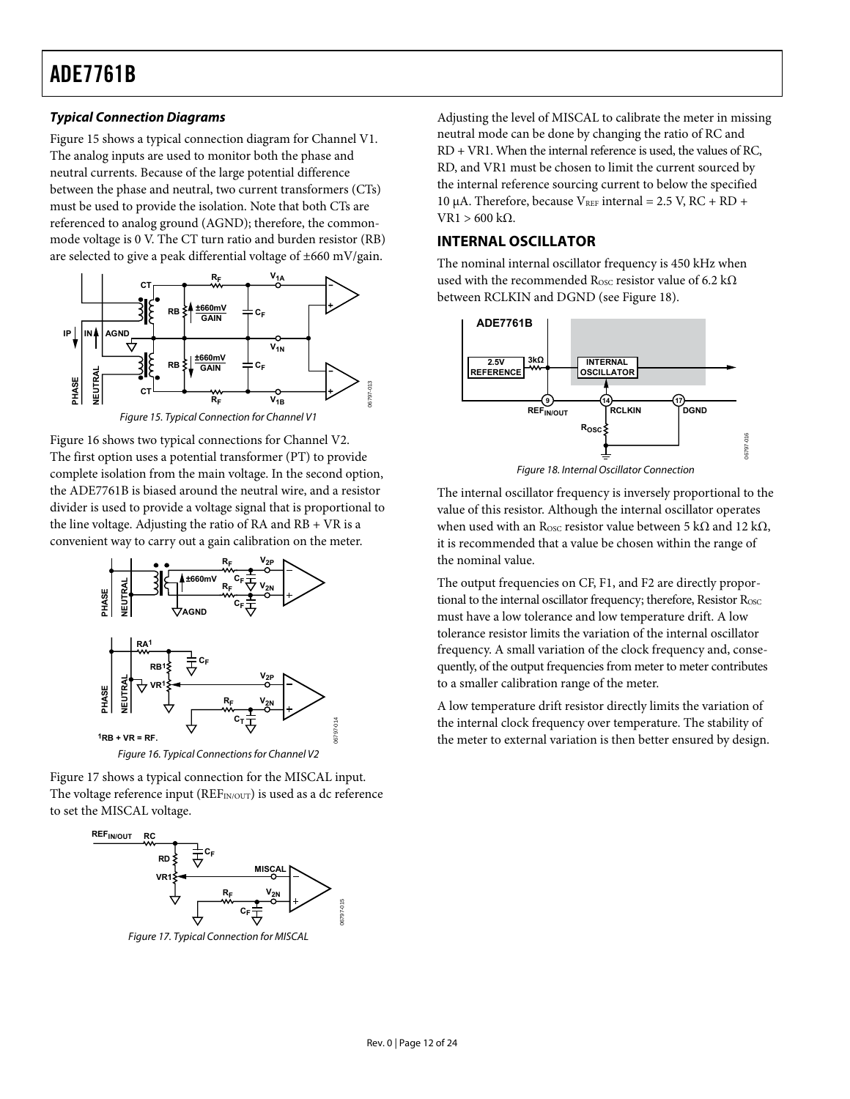#### <span id="page-11-0"></span>**Typical Connection Diagrams**

[Figure 15](#page-11-1) shows a typical connection diagram for Channel V1. The analog inputs are used to monitor both the phase and neutral currents. Because of the large potential difference between the phase and neutral, two current transformers (CTs) must be used to provide the isolation. Note that both CTs are referenced to analog ground (AGND); therefore, the commonmode voltage is 0 V. The CT turn ratio and burden resistor (RB) are selected to give a peak differential voltage of ±660 mV/gain.



Figure 15. Typical Connection for Channel V1

<span id="page-11-4"></span><span id="page-11-1"></span>[Figure 16](#page-11-2) shows two typical connections for Channel V2. The first option uses a potential transformer (PT) to provide complete isolation from the main voltage. In the second option, the ADE7761B is biased around the neutral wire, and a resistor divider is used to provide a voltage signal that is proportional to the line voltage. Adjusting the ratio of RA and RB + VR is a convenient way to carry out a gain calibration on the meter.



<span id="page-11-2"></span>[Figure 17](#page-11-3) shows a typical connection for the MISCAL input. The voltage reference input ( $REF_{IN/OUT}$ ) is used as a dc reference

to set the MISCAL voltage.



<span id="page-11-3"></span>Figure 17. Typical Connection for MISCAL

Adjusting the level of MISCAL to calibrate the meter in missing neutral mode can be done by changing the ratio of RC and RD + VR1. When the internal reference is used, the values of RC, RD, and VR1 must be chosen to limit the current sourced by the internal reference sourcing current to below the specified 10 μA. Therefore, because  $V<sub>REF</sub>$  internal = 2.5 V, RC + RD + VR1 > 600 kΩ.

#### **INTERNAL OSCILLATOR**

The nominal internal oscillator frequency is 450 kHz when used with the recommended R<sub>OSC</sub> resistor value of 6.2 k $\Omega$ between RCLKIN and DGND (see [Figure 18](#page-11-4)).



Figure 18. Internal Oscillator Connection

The internal oscillator frequency is inversely proportional to the value of this resistor. Although the internal oscillator operates when used with an R<sub>OSC</sub> resistor value between 5 kΩ and 12 kΩ, it is recommended that a value be chosen within the range of the nominal value.

The output frequencies on CF, F1, and F2 are directly proportional to the internal oscillator frequency; therefore, Resistor  $R_{\rm OSC}$ must have a low tolerance and low temperature drift. A low tolerance resistor limits the variation of the internal oscillator frequency. A small variation of the clock frequency and, consequently, of the output frequencies from meter to meter contributes to a smaller calibration range of the meter.

A low temperature drift resistor directly limits the variation of the internal clock frequency over temperature. The stability of the meter to external variation is then better ensured by design.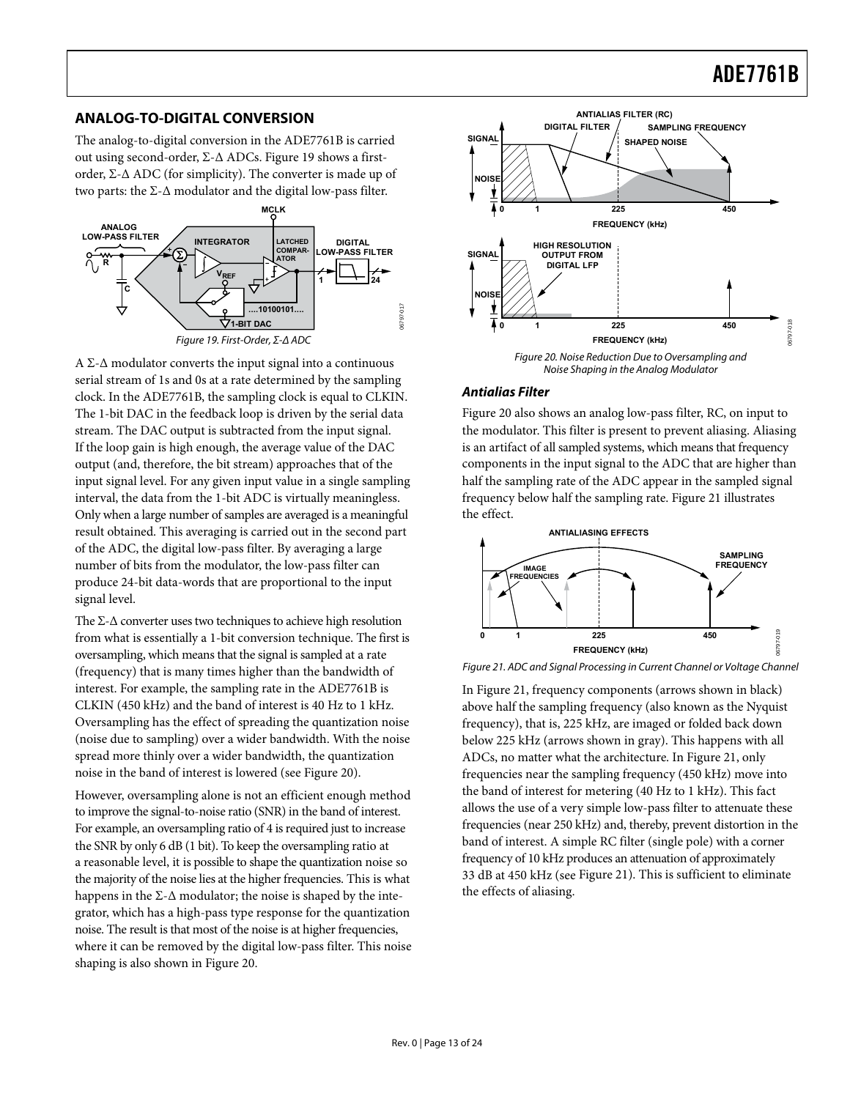#### <span id="page-12-0"></span>**ANALOG-TO-DIGITAL CONVERSION**

The analog-to-digital conversion in the ADE7761B is carried out using second-order, Σ-Δ ADCs. [Figure 19](#page-12-1) shows a firstorder, Σ-Δ ADC (for simplicity). The converter is made up of two parts: the Σ-Δ modulator and the digital low-pass filter.



<span id="page-12-2"></span><span id="page-12-1"></span>A Σ-Δ modulator converts the input signal into a continuous serial stream of 1s and 0s at a rate determined by the sampling clock. In the ADE7761B, the sampling clock is equal to CLKIN. The 1-bit DAC in the feedback loop is driven by the serial data stream. The DAC output is subtracted from the input signal. If the loop gain is high enough, the average value of the DAC output (and, therefore, the bit stream) approaches that of the input signal level. For any given input value in a single sampling interval, the data from the 1-bit ADC is virtually meaningless. Only when a large number of samples are averaged is a meaningful result obtained. This averaging is carried out in the second part of the ADC, the digital low-pass filter. By averaging a large number of bits from the modulator, the low-pass filter can produce 24-bit data-words that are proportional to the input signal level.

<span id="page-12-3"></span>The  $\Sigma$ - $\Delta$  converter uses two techniques to achieve high resolution from what is essentially a 1-bit conversion technique. The first is oversampling, which means that the signal is sampled at a rate (frequency) that is many times higher than the bandwidth of interest. For example, the sampling rate in the ADE7761B is CLKIN (450 kHz) and the band of interest is 40 Hz to 1 kHz. Oversampling has the effect of spreading the quantization noise (noise due to sampling) over a wider bandwidth. With the noise spread more thinly over a wider bandwidth, the quantization noise in the band of interest is lowered (see [Figure 20\)](#page-12-2).

However, oversampling alone is not an efficient enough method to improve the signal-to-noise ratio (SNR) in the band of interest. For example, an oversampling ratio of 4 is required just to increase the SNR by only 6 dB (1 bit). To keep the oversampling ratio at a reasonable level, it is possible to shape the quantization noise so the majority of the noise lies at the higher frequencies. This is what happens in the  $\Sigma$ - $\Delta$  modulator; the noise is shaped by the integrator, which has a high-pass type response for the quantization noise. The result is that most of the noise is at higher frequencies, where it can be removed by the digital low-pass filter. This noise shaping is also shown in [Figure 20](#page-12-2).



#### **Antialias Filter**

[Figure 20](#page-12-2) also shows an analog low-pass filter, RC, on input to the modulator. This filter is present to prevent aliasing. Aliasing is an artifact of all sampled systems, which means that frequency components in the input signal to the ADC that are higher than half the sampling rate of the ADC appear in the sampled signal frequency below half the sampling rate. [Figure 21](#page-12-3) illustrates the effect.



Figure 21. ADC and Signal Processing in Current Channel or Voltage Channel

In [Figure 21](#page-12-3), frequency components (arrows shown in black) above half the sampling frequency (also known as the Nyquist frequency), that is, 225 kHz, are imaged or folded back down below 225 kHz (arrows shown in gray). This happens with all ADCs, no matter what the architecture. In [Figure 21](#page-12-3), only frequencies near the sampling frequency (450 kHz) move into the band of interest for metering (40 Hz to 1 kHz). This fact allows the use of a very simple low-pass filter to attenuate these frequencies (near 250 kHz) and, thereby, prevent distortion in the band of interest. A simple RC filter (single pole) with a corner frequency of 10 kHz produces an attenuation of approximately 33 dB at 450 kHz (see [Figure 21\)](#page-12-3). This is sufficient to eliminate the effects of aliasing.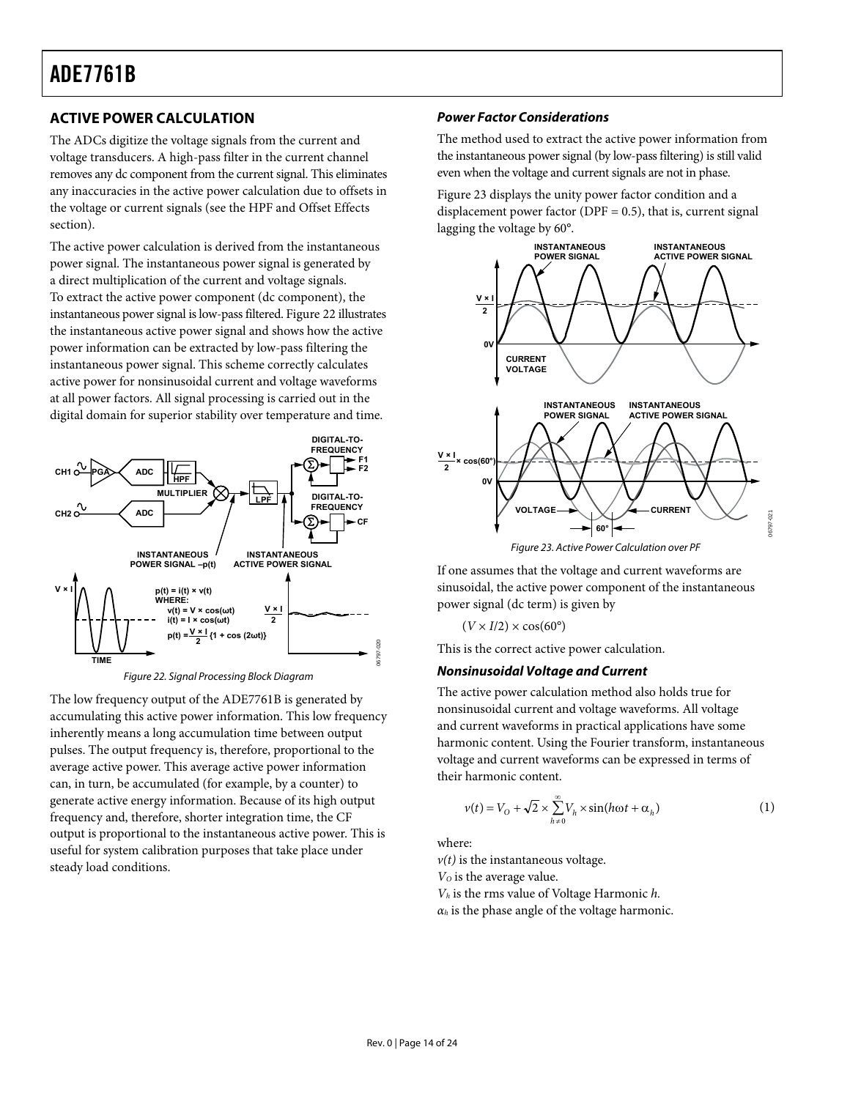#### <span id="page-13-3"></span><span id="page-13-0"></span>**ACTIVE POWER CALCULATION**

The ADCs digitize the voltage signals from the current and voltage transducers. A high-pass filter in the current channel removes any dc component from the current signal. This eliminates any inaccuracies in the active power calculation due to offsets in the voltage or current signals (see the [HPF and Offset Effects](#page-14-0) section).

The active power calculation is derived from the instantaneous power signal. The instantaneous power signal is generated by a direct multiplication of the current and voltage signals. To extract the active power component (dc component), the instantaneous power signal is low-pass filtered. [Figure 22](#page-13-1) illustrates the instantaneous active power signal and shows how the active power information can be extracted by low-pass filtering the instantaneous power signal. This scheme correctly calculates active power for nonsinusoidal current and voltage waveforms at all power factors. All signal processing is carried out in the digital domain for superior stability over temperature and time.

<span id="page-13-2"></span>

Figure 22. Signal Processing Block Diagram

<span id="page-13-1"></span>The low frequency output of the ADE7761B is generated by accumulating this active power information. This low frequency inherently means a long accumulation time between output pulses. The output frequency is, therefore, proportional to the average active power. This average active power information can, in turn, be accumulated (for example, by a counter) to generate active energy information. Because of its high output frequency and, therefore, shorter integration time, the CF output is proportional to the instantaneous active power. This is useful for system calibration purposes that take place under steady load conditions.

#### **Power Factor Considerations**

The method used to extract the active power information from the instantaneous power signal (by low-pass filtering) is still valid even when the voltage and current signals are not in phase.

[Figure 23](#page-13-2) displays the unity power factor condition and a displacement power factor ( $DPF = 0.5$ ), that is, current signal lagging the voltage by 60°.



Figure 23. Active Power Calculation over PF

If one assumes that the voltage and current waveforms are sinusoidal, the active power component of the instantaneous power signal (dc term) is given by

$$
(V \times I/2) \times \cos(60^\circ)
$$

This is the correct active power calculation.

#### **Nonsinusoidal Voltage and Current**

The active power calculation method also holds true for nonsinusoidal current and voltage waveforms. All voltage and current waveforms in practical applications have some harmonic content. Using the Fourier transform, instantaneous voltage and current waveforms can be expressed in terms of their harmonic content.

$$
v(t) = V_0 + \sqrt{2} \times \sum_{h=0}^{\infty} V_h \times \sin(h\omega t + \alpha_h)
$$
 (1)

where:

 $v(t)$  is the instantaneous voltage. *VO* is the average value. *Vh* is the rms value of Voltage Harmonic *h.*

 $\alpha_h$  is the phase angle of the voltage harmonic.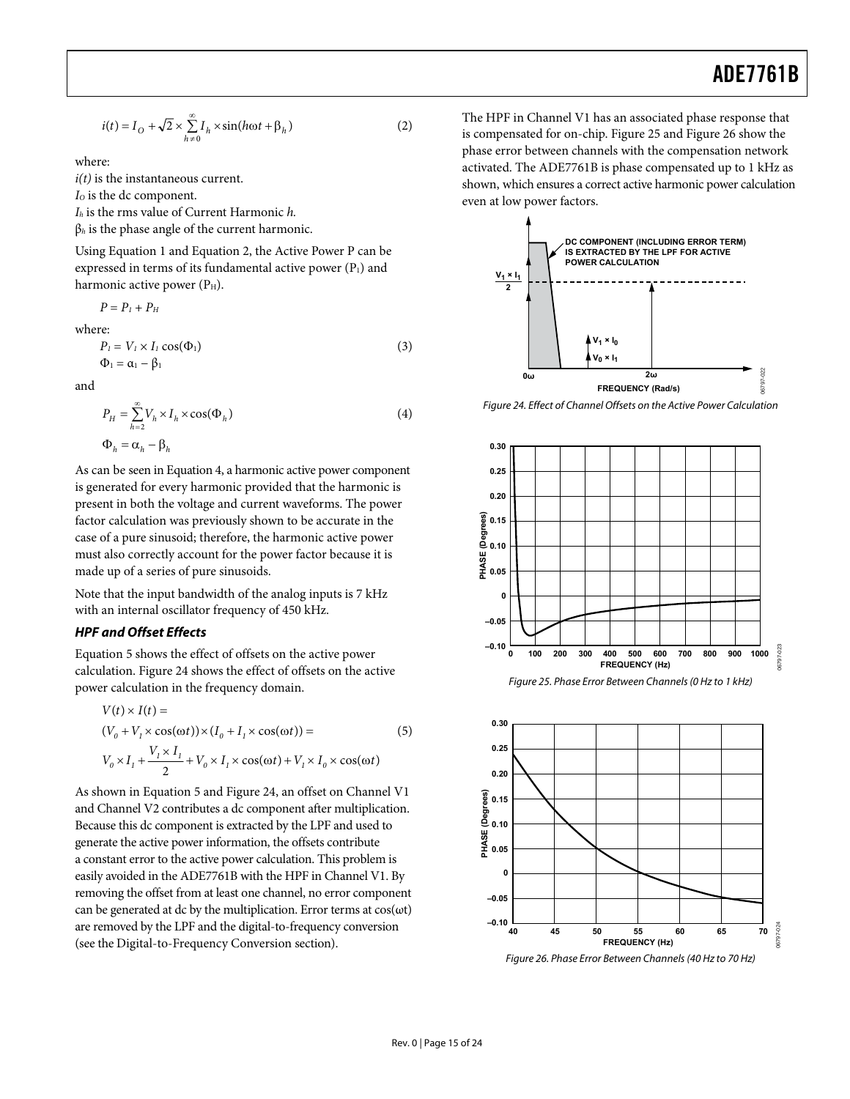$$
i(t) = I_O + \sqrt{2} \times \sum_{h=0}^{\infty} I_h \times \sin(h\omega t + \beta_h)
$$
 (2)

where:

*i(t)* is the instantaneous current.

*I*<sub>o</sub> is the dc component.

*Ih* is the rms value of Current Harmonic *h.*

β*h* is the phase angle of the current harmonic.

Using Equation 1 and Equation 2, the Active Power P can be expressed in terms of its fundamental active power  $(P_1)$  and harmonic active power  $(P<sub>H</sub>)$ .

$$
P=P_{\rm I}+P_{\rm H}
$$

where:

$$
P_l = V_l \times I_l \cos(\Phi_l)
$$
  
\n
$$
\Phi_l = \alpha_l - \beta_l
$$
\n(3)

<span id="page-14-1"></span>and

$$
P_H = \sum_{h=2}^{\infty} V_h \times I_h \times \cos(\Phi_h)
$$
  
\n
$$
\Phi_h = \alpha_h - \beta_h
$$
\n(4)

As can be seen in Equation 4, a harmonic active power component is generated for every harmonic provided that the harmonic is present in both the voltage and current waveforms. The power factor calculation was previously shown to be accurate in the case of a pure sinusoid; therefore, the harmonic active power must also correctly account for the power factor because it is made up of a series of pure sinusoids.

Note that the input bandwidth of the analog inputs is 7 kHz with an internal oscillator frequency of 450 kHz.

#### <span id="page-14-0"></span>**HPF and Offset Effects**

<span id="page-14-2"></span>Equation 5 shows the effect of offsets on the active power calculation. [Figure 24](#page-14-1) shows the effect of offsets on the active power calculation in the frequency domain.

$$
V(t) \times I(t) =
$$
  
\n
$$
(V_0 + V_1 \times \cos(\omega t)) \times (I_0 + I_1 \times \cos(\omega t)) =
$$
  
\n
$$
V_0 \times I_1 + \frac{V_1 \times I_1}{2} + V_0 \times I_1 \times \cos(\omega t) + V_1 \times I_0 \times \cos(\omega t)
$$
 (5)

<span id="page-14-3"></span>As shown in Equation 5 and [Figure 24](#page-14-1), an offset on Channel V1 and Channel V2 contributes a dc component after multiplication. Because this dc component is extracted by the LPF and used to generate the active power information, the offsets contribute a constant error to the active power calculation. This problem is easily avoided in the ADE7761B with the HPF in Channel V1. By removing the offset from at least one channel, no error component can be generated at dc by the multiplication. Error terms at  $cos(\omega t)$ are removed by the LPF and the digital-to-frequency conversion (see the [Digital-to-Frequency Conversion](#page-15-3) section).

The HPF in Channel V1 has an associated phase response that is compensated for on-chip. [Figure 25](#page-14-2) and [Figure 26](#page-14-3) show the phase error between channels with the compensation network activated. The ADE7761B is phase compensated up to 1 kHz as shown, which ensures a correct active harmonic power calculation even at low power factors.



Figure 24. Effect of Channel Offsets on the Active Power Calculation



Figure 26. Phase Error Between Channels (40 Hz to 70 Hz)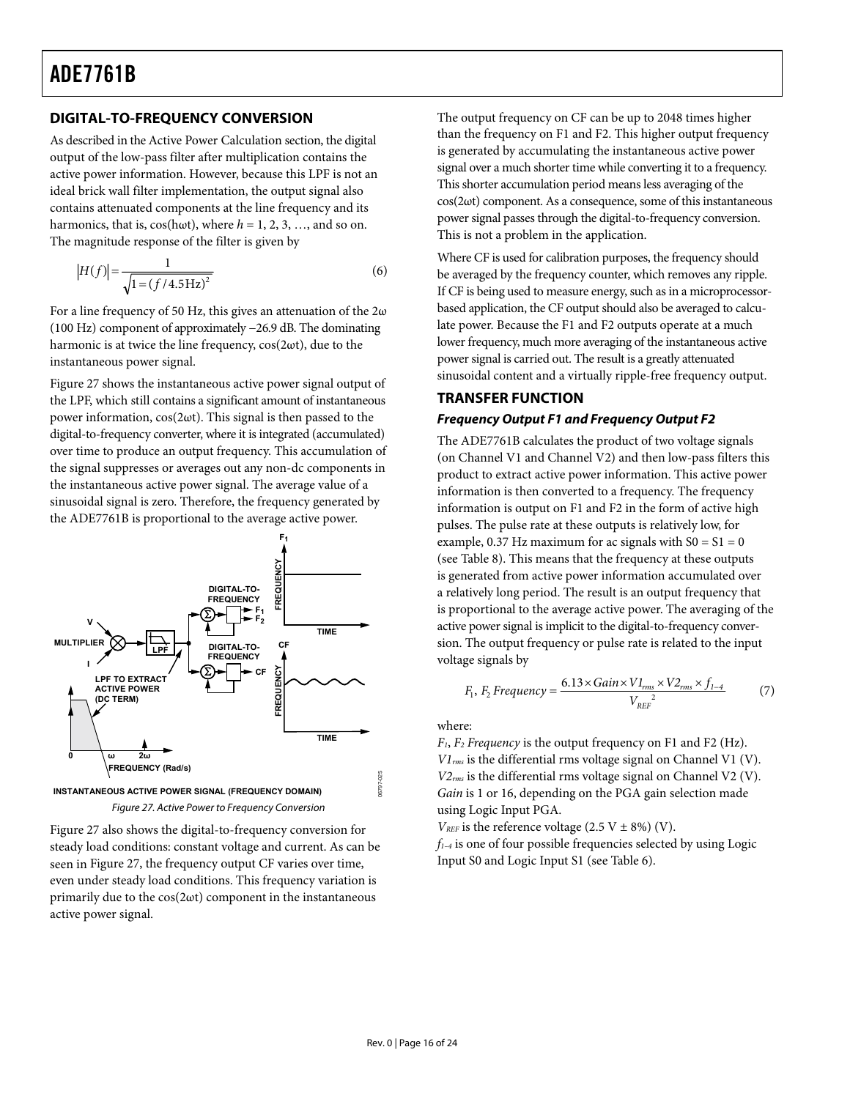#### <span id="page-15-3"></span><span id="page-15-2"></span><span id="page-15-0"></span>**DIGITAL-TO-FREQUENCY CONVERSION**

As described in the [Active Power Calculation](#page-13-3) section, the digital output of the low-pass filter after multiplication contains the active power information. However, because this LPF is not an ideal brick wall filter implementation, the output signal also contains attenuated components at the line frequency and its harmonics, that is,  $cos(h\omega t)$ , where  $h = 1, 2, 3, \dots$ , and so on. The magnitude response of the filter is given by

$$
|H(f)| = \frac{1}{\sqrt{1 = (f/4.5 \,\text{Hz})^2}}\tag{6}
$$

For a line frequency of 50 Hz, this gives an attenuation of the  $2\omega$ (100 Hz) component of approximately −26.9 dB. The dominating harmonic is at twice the line frequency, cos(2ωt), due to the instantaneous power signal.

<span id="page-15-1"></span>[Figure 27](#page-15-4) shows the instantaneous active power signal output of the LPF, which still contains a significant amount of instantaneous power information, cos(2ωt). This signal is then passed to the digital-to-frequency converter, where it is integrated (accumulated) over time to produce an output frequency. This accumulation of the signal suppresses or averages out any non-dc components in the instantaneous active power signal. The average value of a sinusoidal signal is zero. Therefore, the frequency generated by the ADE7761B is proportional to the average active power.



<span id="page-15-4"></span>[Figure 27](#page-15-4) also shows the digital-to-frequency conversion for steady load conditions: constant voltage and current. As can be seen in [Figure 27](#page-15-4), the frequency output CF varies over time, even under steady load conditions. This frequency variation is primarily due to the cos(2ωt) component in the instantaneous active power signal.

The output frequency on CF can be up to 2048 times higher than the frequency on F1 and F2. This higher output frequency is generated by accumulating the instantaneous active power signal over a much shorter time while converting it to a frequency. This shorter accumulation period means less averaging of the cos(2ωt) component. As a consequence, some of this instantaneous power signal passes through the digital-to-frequency conversion. This is not a problem in the application.

Where CF is used for calibration purposes, the frequency should be averaged by the frequency counter, which removes any ripple. If CF is being used to measure energy, such as in a microprocessorbased application, the CF output should also be averaged to calculate power. Because the F1 and F2 outputs operate at a much lower frequency, much more averaging of the instantaneous active power signal is carried out. The result is a greatly attenuated sinusoidal content and a virtually ripple-free frequency output.

#### **TRANSFER FUNCTION Frequency Output F1 and Frequency Output F2**

The ADE7761B calculates the product of two voltage signals (on Channel V1 and Channel V2) and then low-pass filters this product to extract active power information. This active power information is then converted to a frequency. The frequency information is output on F1 and F2 in the form of active high pulses. The pulse rate at these outputs is relatively low, for example, 0.37 Hz maximum for ac signals with  $S0 = S1 = 0$ (see [Table 8](#page-16-2)). This means that the frequency at these outputs is generated from active power information accumulated over a relatively long period. The result is an output frequency that is proportional to the average active power. The averaging of the active power signal is implicit to the digital-to-frequency conversion. The output frequency or pulse rate is related to the input voltage signals by

$$
F_1, F_2 \, Frequency = \frac{6.13 \times Gain \times VI_{rms} \times V2_{rms} \times f_{1-4}}{V_{REF}^2}
$$
 (7)

where:

*F1*, *F2 Frequency* is the output frequency on F1 and F2 (Hz). *V1rms* is the differential rms voltage signal on Channel V1 (V). *V2rms* is the differential rms voltage signal on Channel V2 (V). *Gain* is 1 or 16, depending on the PGA gain selection made using Logic Input PGA.

 $V_{REF}$  is the reference voltage (2.5 V  $\pm$  8%) (V).

*f1–4* is one of four possible frequencies selected by using Logic Input S0 and Logic Input S1 (see [Table 6](#page-16-5)).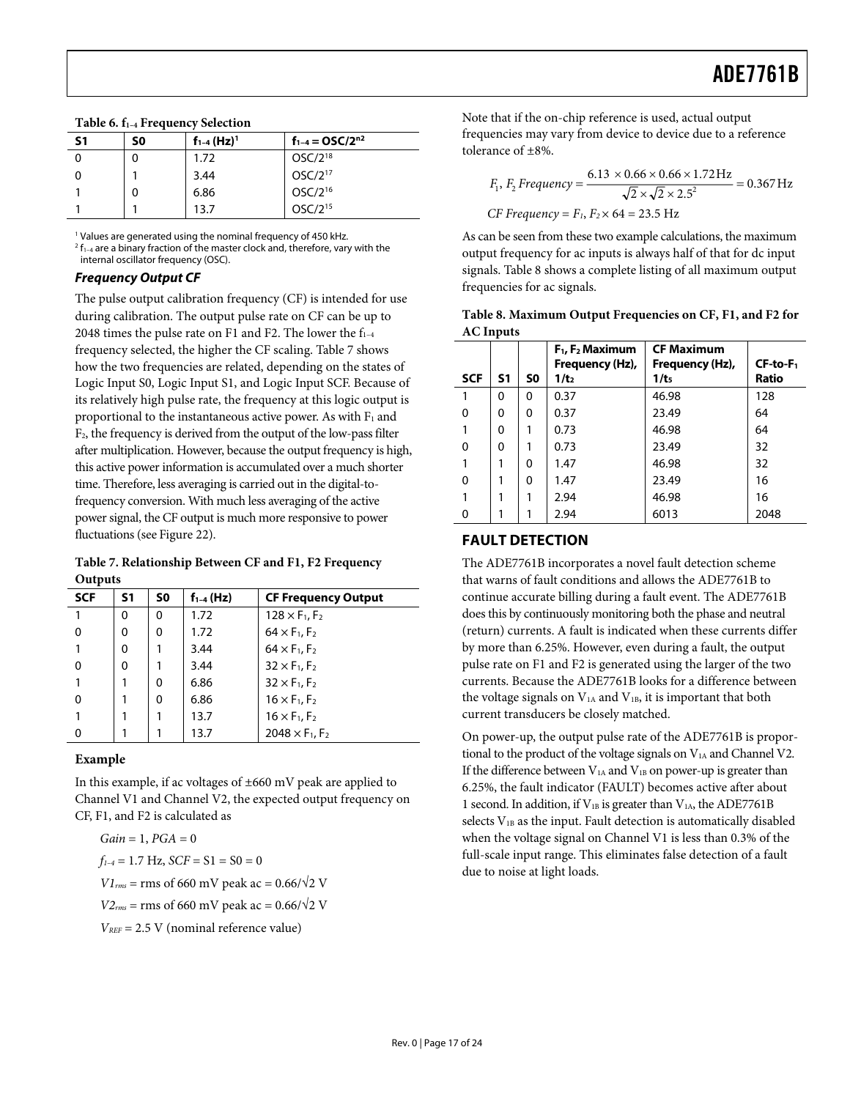<span id="page-16-5"></span>

| $1$ able 6. $I_{1-4}$ Frequency Selection |    |                             |                                   |  |  |  |
|-------------------------------------------|----|-----------------------------|-----------------------------------|--|--|--|
| S1                                        | S0 | $f_{1-4}$ (Hz) <sup>1</sup> | $f_{1-4} = \frac{0}{5C}{2^{n^2}}$ |  |  |  |
|                                           | 0  | 1.72                        | $OSC/2^{18}$                      |  |  |  |
|                                           |    | 3.44                        | $OSC/2^{17}$                      |  |  |  |
|                                           | 0  | 6.86                        | $OSC/2^{16}$                      |  |  |  |
|                                           |    | 13.7                        | OSC/2 <sup>15</sup>               |  |  |  |

<span id="page-16-3"></span><span id="page-16-0"></span>**Table 6. f1–4 Frequency Selection** 

1 Values are generated using the nominal frequency of 450 kHz.

 $2 f_{1-4}$  are a binary fraction of the master clock and, therefore, vary with the internal oscillator frequency (OSC).

#### <span id="page-16-6"></span>**Frequency Output CF**

<span id="page-16-2"></span>The pulse output calibration frequency (CF) is intended for use during calibration. The output pulse rate on CF can be up to 2048 times the pulse rate on F1 and F2. The lower the  $f_{1-4}$ frequency selected, the higher the CF scaling. [Table 7](#page-16-4) shows how the two frequencies are related, depending on the states of Logic Input S0, Logic Input S1, and Logic Input SCF. Because of its relatively high pulse rate, the frequency at this logic output is proportional to the instantaneous active power. As with  $F_1$  and F2, the frequency is derived from the output of the low-pass filter after multiplication. However, because the output frequency is high, this active power information is accumulated over a much shorter time. Therefore, less averaging is carried out in the digital-tofrequency conversion. With much less averaging of the active power signal, the CF output is much more responsive to power fluctuations (see [Figure 22](#page-13-1)).

<span id="page-16-1"></span>**Table 7. Relationship Between CF and F1, F2 Frequency Outputs** 

<span id="page-16-4"></span>

| <b>SCF</b> | S1 | S0 | $f_{1-4}$ (Hz) | <b>CF Frequency Output</b>         |
|------------|----|----|----------------|------------------------------------|
|            | 0  | 0  | 1.72           | $128 \times F_1, F_2$              |
| 0          | 0  | 0  | 1.72           | $64 \times F_1, F_2$               |
|            | 0  |    | 3.44           | $64 \times F_1$ , $F_2$            |
|            | 0  |    | 3.44           | $32 \times F_1$ , F <sub>2</sub>   |
|            |    | 0  | 6.86           | $32 \times F_1$ , F <sub>2</sub>   |
|            |    | 0  | 6.86           | $16 \times F_1, F_2$               |
|            |    |    | 13.7           | $16 \times F_1$ , $F_2$            |
|            |    |    | 13.7           | $2048 \times F_1$ , F <sub>2</sub> |

#### **Example**

In this example, if ac voltages of ±660 mV peak are applied to Channel V1 and Channel V2, the expected output frequency on CF, F1, and F2 is calculated as

*Gain* = 1, *PGA* = 0  $f_{1-4} = 1.7$  Hz,  $SCF = S1 = S0 = 0$ *V1*<sub>rms</sub> = rms of 660 mV peak ac =  $0.66/\sqrt{2}$  V *V2<sub>rms</sub>* = rms of 660 mV peak ac =  $0.66/\sqrt{2}$  V

*VREF* = 2.5 V (nominal reference value)

Note that if the on-chip reference is used, actual output frequencies may vary from device to device due to a reference tolerance of ±8%.

$$
F_1, F_2 \, Frequency = \frac{6.13 \times 0.66 \times 0.66 \times 1.72 \, \text{Hz}}{\sqrt{2} \times \sqrt{2} \times 2.5^2} = 0.367 \, \text{Hz}
$$
\n
$$
CF \, Frequency = F_1, F_2 \times 64 = 23.5 \, \text{Hz}
$$

As can be seen from these two example calculations, the maximum output frequency for ac inputs is always half of that for dc input signals. [Table 8](#page-16-2) shows a complete listing of all maximum output frequencies for ac signals.

|                  | Table 8. Maximum Output Frequencies on CF, F1, and F2 for |  |
|------------------|-----------------------------------------------------------|--|
| <b>AC Inputs</b> |                                                           |  |

|            |    |    | $F_1$ , $F_2$ Maximum<br>Frequency (Hz), | <b>CF Maximum</b><br>Frequency (Hz), | $CF-to-F1$   |
|------------|----|----|------------------------------------------|--------------------------------------|--------------|
| <b>SCF</b> | S1 | S0 | 1/t <sub>2</sub>                         | 1/t <sub>5</sub>                     | <b>Ratio</b> |
|            | 0  | 0  | 0.37                                     | 46.98                                | 128          |
| 0          | 0  | 0  | 0.37                                     | 23.49                                | 64           |
|            | 0  | 1  | 0.73                                     | 46.98                                | 64           |
| 0          | 0  | 1  | 0.73                                     | 23.49                                | 32           |
|            | 1  | 0  | 1.47                                     | 46.98                                | 32           |
| 0          | 1  | 0  | 1.47                                     | 23.49                                | 16           |
|            | 1  | 1  | 2.94                                     | 46.98                                | 16           |
| 0          |    |    | 2.94                                     | 6013                                 | 2048         |

#### **FAULT DETECTION**

The ADE7761B incorporates a novel fault detection scheme that warns of fault conditions and allows the ADE7761B to continue accurate billing during a fault event. The ADE7761B does this by continuously monitoring both the phase and neutral (return) currents. A fault is indicated when these currents differ by more than 6.25%. However, even during a fault, the output pulse rate on F1 and F2 is generated using the larger of the two currents. Because the ADE7761B looks for a difference between the voltage signals on  $V<sub>1A</sub>$  and  $V<sub>1B</sub>$ , it is important that both current transducers be closely matched.

On power-up, the output pulse rate of the ADE7761B is proportional to the product of the voltage signals on V<sub>1A</sub> and Channel V2. If the difference between  $V_{1A}$  and  $V_{1B}$  on power-up is greater than 6.25%, the fault indicator (FAULT) becomes active after about 1 second. In addition, if  $V_{1B}$  is greater than  $V_{1A}$ , the ADE7761B selects V<sub>1B</sub> as the input. Fault detection is automatically disabled when the voltage signal on Channel V1 is less than 0.3% of the full-scale input range. This eliminates false detection of a fault due to noise at light loads.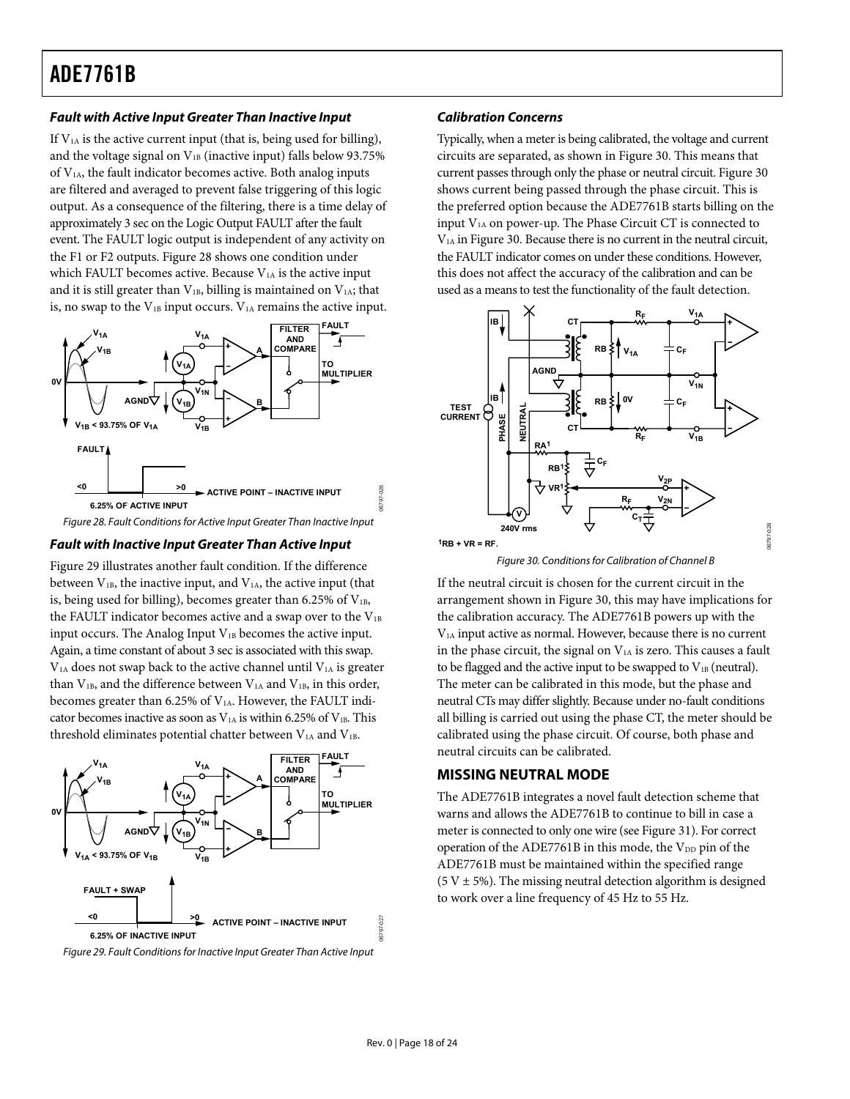#### <span id="page-17-1"></span>**Fault with Active Input Greater Than Inactive Input**

If  $V<sub>1A</sub>$  is the active current input (that is, being used for billing), and the voltage signal on  $V_{1B}$  (inactive input) falls below 93.75% of V1A, the fault indicator becomes active. Both analog inputs are filtered and averaged to prevent false triggering of this logic output. As a consequence of the filtering, there is a time delay of approximately 3 sec on the Logic Output FAULT after the fault event. The FAULT logic output is independent of any activity on the F1 or F2 outputs. [Figure 28](#page-17-2) shows one condition under which FAULT becomes active. Because  $V_{1A}$  is the active input and it is still greater than  $V_{1B}$ , billing is maintained on  $V_{1A}$ ; that is, no swap to the  $V_{1B}$  input occurs.  $V_{1A}$  remains the active input.



Figure 28. Fault Conditions for Active Input Greater Than Inactive Input

#### <span id="page-17-2"></span>**Fault with Inactive Input Greater Than Active Input**

<span id="page-17-4"></span>[Figure 29](#page-17-3) illustrates another fault condition. If the difference between  $V_{1B}$ , the inactive input, and  $V_{1A}$ , the active input (that is, being used for billing), becomes greater than  $6.25\%$  of  $V_{1B}$ , the FAULT indicator becomes active and a swap over to the  $V_{1B}$ input occurs. The Analog Input  $V_{1B}$  becomes the active input. Again, a time constant of about 3 sec is associated with this swap.  $V<sub>1A</sub>$  does not swap back to the active channel until  $V<sub>1A</sub>$  is greater than  $V_{1B}$ , and the difference between  $V_{1A}$  and  $V_{1B}$ , in this order, becomes greater than 6.25% of V<sub>1A</sub>. However, the FAULT indicator becomes inactive as soon as  $V_{1A}$  is within 6.25% of  $V_{1B}$ . This threshold eliminates potential chatter between  $V<sub>1A</sub>$  and  $V<sub>1B</sub>$ .

<span id="page-17-0"></span>

<span id="page-17-3"></span>

#### **Calibration Concerns**

Typically, when a meter is being calibrated, the voltage and current circuits are separated, as shown in [Figure 30](#page-17-4). This means that current passes through only the phase or neutral circuit. [Figure 30](#page-17-4) shows current being passed through the phase circuit. This is the preferred option because the ADE7761B starts billing on the input  $V<sub>1A</sub>$  on power-up. The Phase Circuit CT is connected to V1A in [Figure 30](#page-17-4). Because there is no current in the neutral circuit, the FAULT indicator comes on under these conditions. However, this does not affect the accuracy of the calibration and can be used as a means to test the functionality of the fault detection.



Figure 30. Conditions for Calibration of Channel B

If the neutral circuit is chosen for the current circuit in the arrangement shown in [Figure 30](#page-17-4), this may have implications for the calibration accuracy. The ADE7761B powers up with the V1A input active as normal. However, because there is no current in the phase circuit, the signal on  $V<sub>1A</sub>$  is zero. This causes a fault to be flagged and the active input to be swapped to  $V_{1B}$  (neutral). The meter can be calibrated in this mode, but the phase and neutral CTs may differ slightly. Because under no-fault conditions all billing is carried out using the phase CT, the meter should be calibrated using the phase circuit. Of course, both phase and neutral circuits can be calibrated.

#### **MISSING NEUTRAL MODE**

The ADE7761B integrates a novel fault detection scheme that warns and allows the ADE7761B to continue to bill in case a meter is connected to only one wire (see [Figure 31\)](#page-18-3). For correct operation of the ADE7761B in this mode, the V<sub>DD</sub> pin of the ADE7761B must be maintained within the specified range  $(5 V \pm 5\%)$ . The missing neutral detection algorithm is designed to work over a line frequency of 45 Hz to 55 Hz.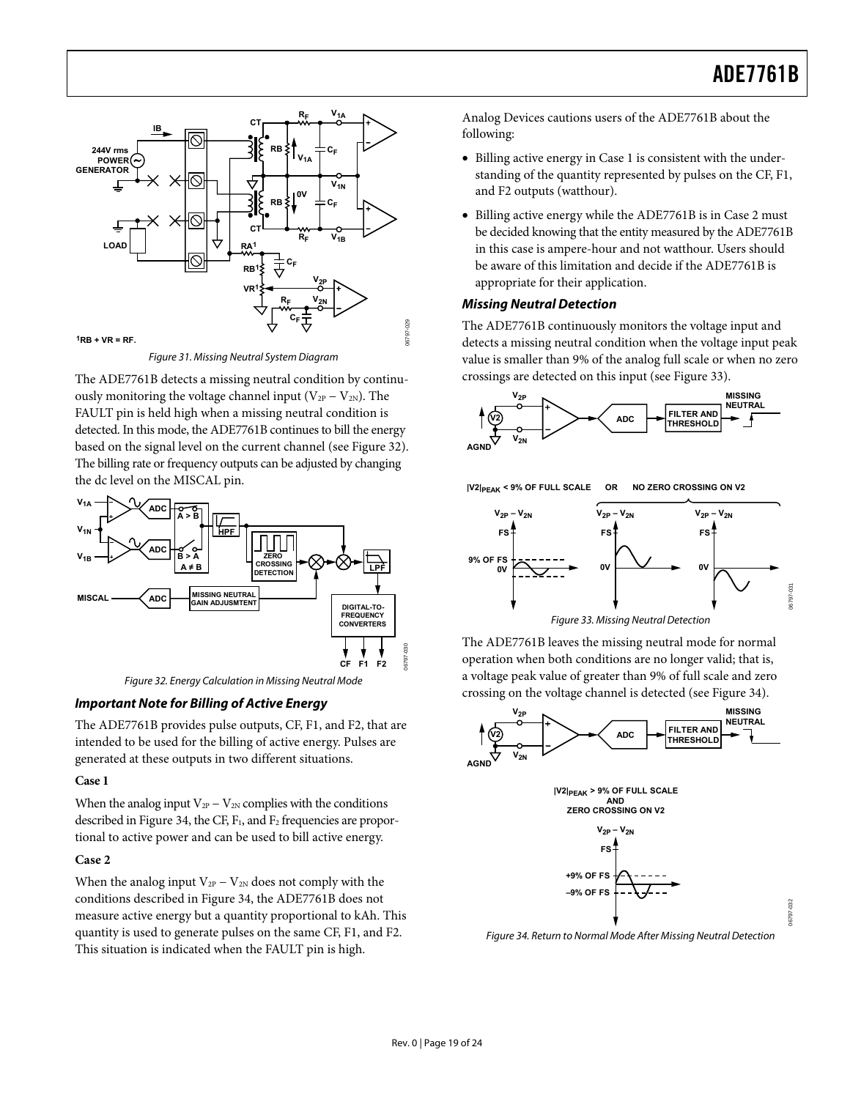<span id="page-18-1"></span>

Figure 31. Missing Neutral System Diagram

<span id="page-18-3"></span><span id="page-18-0"></span>The ADE7761B detects a missing neutral condition by continuously monitoring the voltage channel input ( $V_{2P} - V_{2N}$ ). The FAULT pin is held high when a missing neutral condition is detected. In this mode, the ADE7761B continues to bill the energy based on the signal level on the current channel (see [Figure 32](#page-18-4)). The billing rate or frequency outputs can be adjusted by changing the dc level on the MISCAL pin.



Figure 32. Energy Calculation in Missing Neutral Mode

#### <span id="page-18-5"></span><span id="page-18-4"></span>**Important Note for Billing of Active Energy**

The ADE7761B provides pulse outputs, CF, F1, and F2, that are intended to be used for the billing of active energy. Pulses are generated at these outputs in two different situations.

#### **Case 1**

When the analog input  $V_{2P} - V_{2N}$  complies with the conditions described in [Figure 34,](#page-18-2) the CF,  $F_1$ , and  $F_2$  frequencies are proportional to active power and can be used to bill active energy.

#### **Case 2**

<span id="page-18-2"></span>When the analog input  $V_{2P} - V_{2N}$  does not comply with the conditions described in [Figure 34,](#page-18-2) the ADE7761B does not measure active energy but a quantity proportional to kAh. This quantity is used to generate pulses on the same CF, F1, and F2. This situation is indicated when the FAULT pin is high.

Analog Devices cautions users of the ADE7761B about the following:

- Billing active energy in Case 1 is consistent with the understanding of the quantity represented by pulses on the CF, F1, and F2 outputs (watthour).
- Billing active energy while the ADE7761B is in Case 2 must be decided knowing that the entity measured by the ADE7761B in this case is ampere-hour and not watthour. Users should be aware of this limitation and decide if the ADE7761B is appropriate for their application.

#### **Missing Neutral Detection**

The ADE7761B continuously monitors the voltage input and detects a missing neutral condition when the voltage input peak value is smaller than 9% of the analog full scale or when no zero crossings are detected on this input (see [Figure 33](#page-18-5)).





The ADE7761B leaves the missing neutral mode for normal operation when both conditions are no longer valid; that is, a voltage peak value of greater than 9% of full scale and zero crossing on the voltage channel is detected (see [Figure 34\)](#page-18-2).





Figure 34. Return to Normal Mode After Missing Neutral Detection

06797-030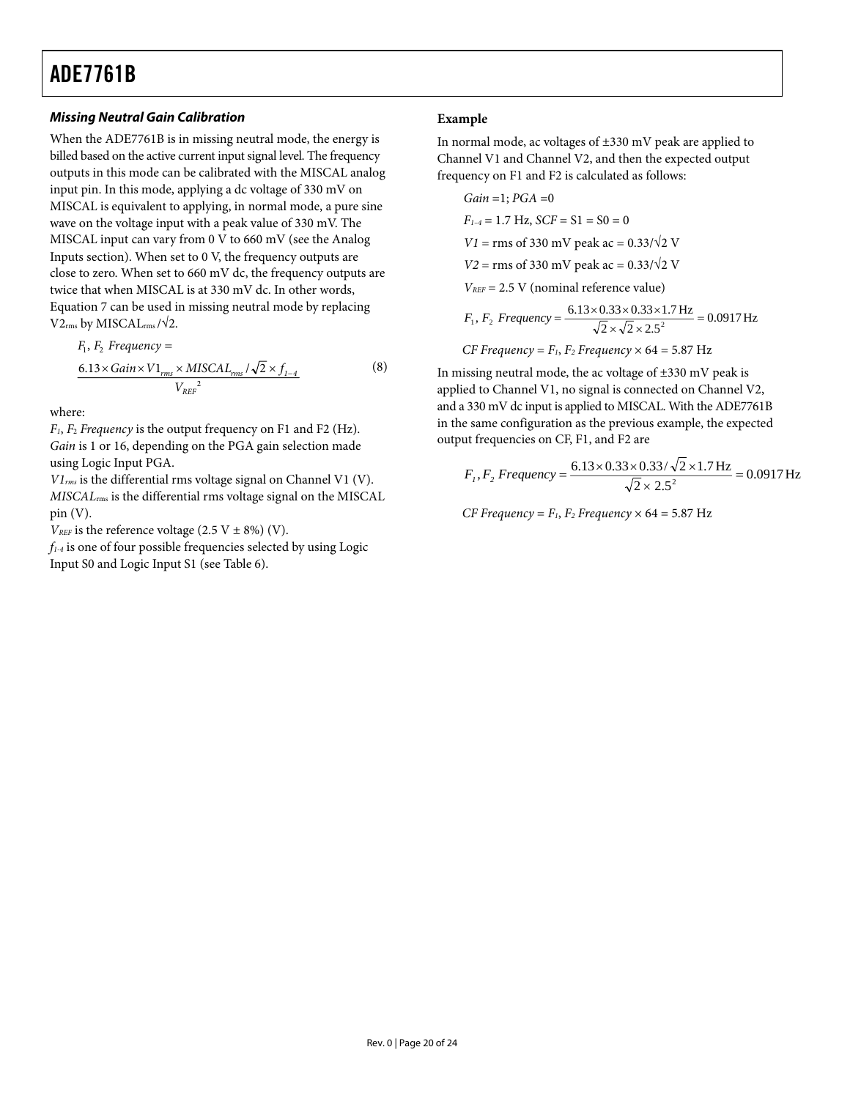#### **Missing Neutral Gain Calibration Example**

When the ADE7761B is in missing neutral mode, the energy is billed based on the active current input signal level. The frequency outputs in this mode can be calibrated with the MISCAL analog input pin. In this mode, applying a dc voltage of 330 mV on MISCAL is equivalent to applying, in normal mode, a pure sine wave on the voltage input with a peak value of 330 mV. The MISCAL input can vary from 0 V to 660 mV (see the [Analog](#page-10-1)  [Inputs](#page-10-1) section). When set to 0 V, the frequency outputs are close to zero. When set to 660 mV dc, the frequency outputs are twice that when MISCAL is at 330 mV dc. In other words, Equation 7 can be used in missing neutral mode by replacing  $V2_{rms}$  by MISCAL<sub>rms</sub> / $\sqrt{2}$ .

$$
F_1, F_2 \text{ Frequency} =
$$
  
\n
$$
\frac{6.13 \times \text{Gain} \times V1_{rms} \times \text{MISCAL}_{rms} / \sqrt{2} \times f_{1-4}}{V_{REF}^2}
$$
 (8)

where:

*F1*, *F*<sup>2</sup> *Frequency* is the output frequency on F1 and F2 (Hz). *Gain* is 1 or 16, depending on the PGA gain selection made using Logic Input PGA.

*V1rms* is the differential rms voltage signal on Channel V1 (V). *MISCAL*rms is the differential rms voltage signal on the MISCAL pin (V).

 $V_{REF}$  is the reference voltage (2.5 V  $\pm$  8%) (V).

*f1-4* is one of four possible frequencies selected by using Logic Input S0 and Logic Input S1 (see [Table 6](#page-16-5)).

In normal mode, ac voltages of ±330 mV peak are applied to Channel V1 and Channel V2, and then the expected output frequency on F1 and F2 is calculated as follows:

Gain = 1; *PGA* = 0  
\n
$$
F_{1-4} = 1.7
$$
 Hz, *SCF* = S1 = S0 = 0  
\n*VI* = rms of 330 mV peak ac = 0.33/ $\sqrt{2}$  V  
\n*V2* = rms of 330 mV peak ac = 0.33/ $\sqrt{2}$  V  
\n*V\_{REF}* = 2.5 V (nominal reference value)  
\n $F_1, F_2$  *Frequency* =  $\frac{6.13 \times 0.33 \times 0.33 \times 1.7$  Hz}{\sqrt{2} \times \sqrt{2} \times 2.5^2} = 0.0917 Hz  
\n*CF Frequency* =  $F_1, F_2$  *Frequency* × 64 = 5.87 Hz

In missing neutral mode, the ac voltage of ±330 mV peak is applied to Channel V1, no signal is connected on Channel V2, and a 330 mV dc input is applied to MISCAL. With the ADE7761B in the same configuration as the previous example, the expected output frequencies on CF, F1, and F2 are

$$
F_1, F_2 \text{ Frequency} = \frac{6.13 \times 0.33 \times 0.33 / \sqrt{2} \times 1.7 \text{ Hz}}{\sqrt{2} \times 2.5^2} = 0.0917 \text{ Hz}
$$

*CF Frequency* =  $F_1$ ,  $F_2$  *Frequency*  $\times$  64 = 5.87 Hz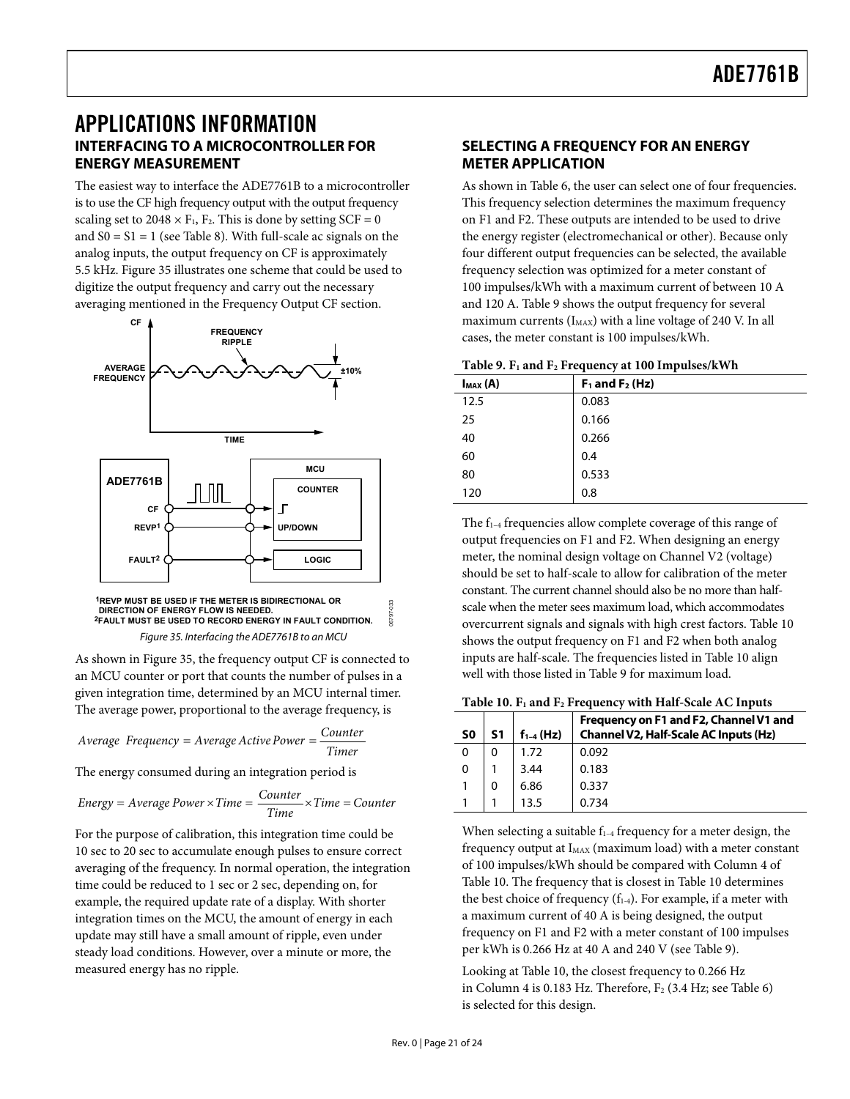### <span id="page-20-1"></span><span id="page-20-0"></span>APPLICATIONS INFORMATION **INTERFACING TO A MICROCONTROLLER FOR ENERGY MEASUREMENT**

The easiest way to interface the ADE7761B to a microcontroller is to use the CF high frequency output with the output frequency scaling set to  $2048 \times F_1$ ,  $F_2$ . This is done by setting SCF = 0 and  $S0 = S1 = 1$  (see [Table 8](#page-16-2)). With full-scale ac signals on the analog inputs, the output frequency on CF is approximately 5.5 kHz. [Figure 35](#page-20-2) illustrates one scheme that could be used to digitize the output frequency and carry out the necessary averaging mentioned in the [Frequency Output CF](#page-16-6) section.

<span id="page-20-3"></span>

Figure 35. Interfacing the ADE7761B to an MCU

<span id="page-20-2"></span>As shown in [Figure 35,](#page-20-2) the frequency output CF is connected to an MCU counter or port that counts the number of pulses in a given integration time, determined by an MCU internal timer. The average power, proportional to the average frequency, is

<span id="page-20-4"></span>
$$
Average Frequency = Average Active Power = \frac{Counter}{Timer}
$$

The energy consumed during an integration period is

Energy = Average Power × Time = 
$$
\frac{Counter}{Time} \times Time = Counter
$$

For the purpose of calibration, this integration time could be 10 sec to 20 sec to accumulate enough pulses to ensure correct averaging of the frequency. In normal operation, the integration time could be reduced to 1 sec or 2 sec, depending on, for example, the required update rate of a display. With shorter integration times on the MCU, the amount of energy in each update may still have a small amount of ripple, even under steady load conditions. However, over a minute or more, the measured energy has no ripple.

#### **SELECTING A FREQUENCY FOR AN ENERGY METER APPLICATION**

As shown in [Table 6](#page-16-5), the user can select one of four frequencies. This frequency selection determines the maximum frequency on F1 and F2. These outputs are intended to be used to drive the energy register (electromechanical or other). Because only four different output frequencies can be selected, the available frequency selection was optimized for a meter constant of 100 impulses/kWh with a maximum current of between 10 A and 120 A. [Table 9](#page-20-3) shows the output frequency for several maximum currents  $(I_{MAX})$  with a line voltage of 240 V. In all cases, the meter constant is 100 impulses/kWh.

|  |  | Table 9. F <sub>1</sub> and F <sub>2</sub> Frequency at 100 Impulses/kWh |
|--|--|--------------------------------------------------------------------------|
|--|--|--------------------------------------------------------------------------|

| $I_{MAX}(A)$ | л.<br>$F_1$ and $F_2$ (Hz) |
|--------------|----------------------------|
| 12.5         | 0.083                      |
| 25           | 0.166                      |
| 40           | 0.266                      |
| 60           | 0.4                        |
| 80           | 0.533                      |
| 120          | 0.8                        |

The  $f_{1-4}$  frequencies allow complete coverage of this range of output frequencies on F1 and F2. When designing an energy meter, the nominal design voltage on Channel V2 (voltage) should be set to half-scale to allow for calibration of the meter constant. The current channel should also be no more than halfscale when the meter sees maximum load, which accommodates overcurrent signals and signals with high crest factors. [Table 10](#page-20-4) shows the output frequency on F1 and F2 when both analog inputs are half-scale. The frequencies listed in [Table 10](#page-20-4) align well with those listed in Table 9 for maximum load.

|  |  |  | Table 10. F <sub>1</sub> and F <sub>2</sub> Frequency with Half-Scale AC Inputs |
|--|--|--|---------------------------------------------------------------------------------|
|--|--|--|---------------------------------------------------------------------------------|

| S <sub>0</sub> | S1 | $f_{1-4}$ (Hz) | Frequency on F1 and F2, Channel V1 and<br>Channel V2, Half-Scale AC Inputs (Hz) |
|----------------|----|----------------|---------------------------------------------------------------------------------|
| 0              | 0  | 1.72           | 0.092                                                                           |
| 0              |    | 3.44           | 0.183                                                                           |
|                | 0  | 6.86           | 0.337                                                                           |
|                |    |                | 0.734                                                                           |

When selecting a suitable  $f_{1-4}$  frequency for a meter design, the frequency output at I<sub>MAX</sub> (maximum load) with a meter constant of 100 impulses/kWh should be compared with Column 4 of [Table 10](#page-20-4). The frequency that is closest in [Table 10](#page-20-4) determines the best choice of frequency  $(f_{1-4})$ . For example, if a meter with a maximum current of 40 A is being designed, the output frequency on F1 and F2 with a meter constant of 100 impulses per kWh is 0.266 Hz at 40 A and 240 V (see [Table 9](#page-20-3)).

Looking at [Table 10](#page-20-4), the closest frequency to 0.266 Hz in Column 4 is 0.183 Hz. Therefore,  $F_2$  (3.4 Hz; see [Table 6](#page-16-5)) is selected for this design.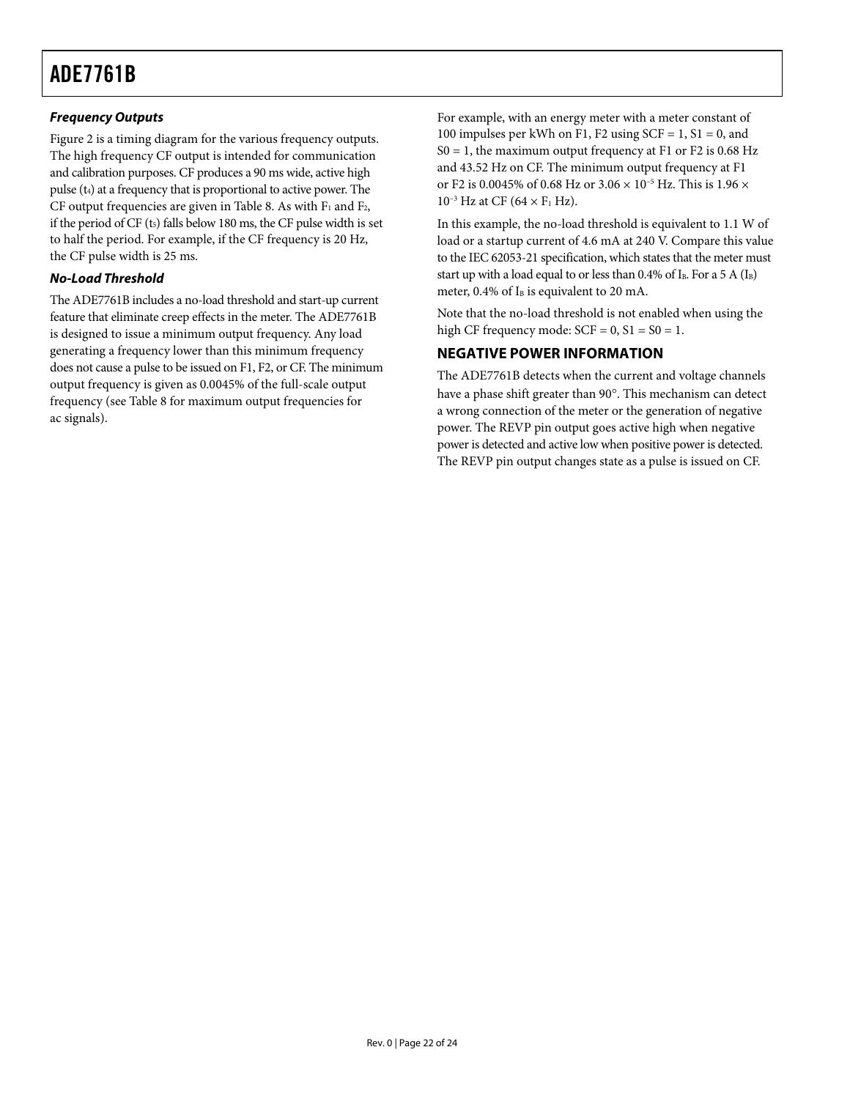#### <span id="page-21-0"></span>**Frequency Outputs**

[Figure 2](#page-3-2) is a timing diagram for the various frequency outputs. The high frequency CF output is intended for communication and calibration purposes. CF produces a 90 ms wide, active high pulse  $(t_4)$  at a frequency that is proportional to active power. The CF output frequencies are given in [Table 8](#page-16-2). As with  $F_1$  and  $F_2$ , if the period of CF  $(t_5)$  falls below 180 ms, the CF pulse width is set to half the period. For example, if the CF frequency is 20 Hz, the CF pulse width is 25 ms.

#### **No-Load Threshold**

The ADE7761B includes a no-load threshold and start-up current feature that eliminate creep effects in the meter. The ADE7761B is designed to issue a minimum output frequency. Any load generating a frequency lower than this minimum frequency does not cause a pulse to be issued on F1, F2, or CF. The minimum output frequency is given as 0.0045% of the full-scale output frequency (see [Table 8](#page-16-2) for maximum output frequencies for ac signals).

For example, with an energy meter with a meter constant of 100 impulses per kWh on F1, F2 using  $SCF = 1$ , S1 = 0, and  $S0 = 1$ , the maximum output frequency at F1 or F2 is 0.68 Hz and 43.52 Hz on CF. The minimum output frequency at F1 or F2 is 0.0045% of 0.68 Hz or 3.06  $\times$   $10^{-5}$  Hz. This is 1.96  $\times$  $10^{-3}$  Hz at CF (64  $\times$  F<sub>1</sub> Hz).

In this example, the no-load threshold is equivalent to 1.1 W of load or a startup current of 4.6 mA at 240 V. Compare this value to the IEC 62053-21 specification, which states that the meter must start up with a load equal to or less than 0.4% of I<sub>B</sub>. For a 5 A (I<sub>B</sub>) meter,  $0.4\%$  of I<sub>B</sub> is equivalent to 20 mA.

Note that the no-load threshold is not enabled when using the high CF frequency mode:  $SCF = 0$ ,  $S1 = S0 = 1$ .

#### **NEGATIVE POWER INFORMATION**

The ADE7761B detects when the current and voltage channels have a phase shift greater than 90°. This mechanism can detect a wrong connection of the meter or the generation of negative power. The REVP pin output goes active high when negative power is detected and active low when positive power is detected. The REVP pin output changes state as a pulse is issued on CF.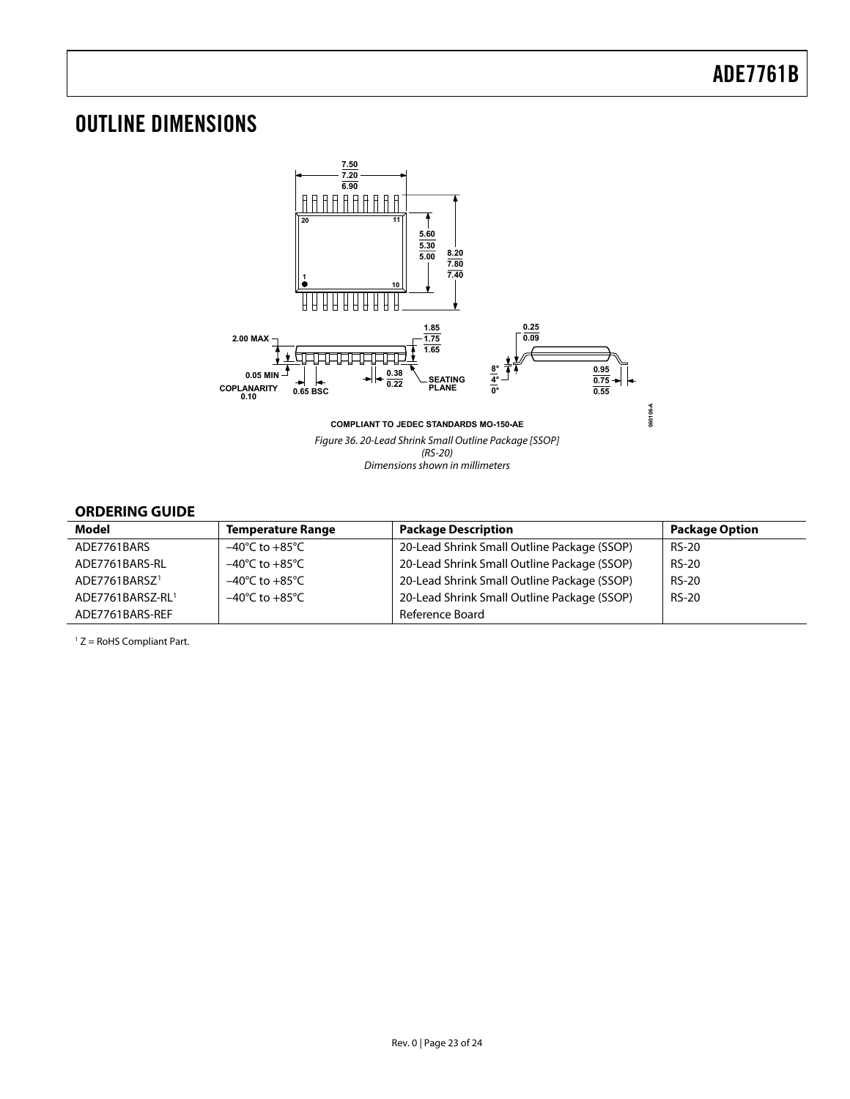### <span id="page-22-0"></span>OUTLINE DIMENSIONS



#### **ORDERING GUIDE**

<span id="page-22-1"></span>

| Model                     | <b>Temperature Range</b>           | <b>Package Description</b>                  | <b>Package Option</b> |
|---------------------------|------------------------------------|---------------------------------------------|-----------------------|
| ADE7761BARS               | $-40^{\circ}$ C to $+85^{\circ}$ C | 20-Lead Shrink Small Outline Package (SSOP) | <b>RS-20</b>          |
| ADE7761BARS-RL            | $-40^{\circ}$ C to $+85^{\circ}$ C | 20-Lead Shrink Small Outline Package (SSOP) | <b>RS-20</b>          |
| ADE7761BARSZ <sup>1</sup> | $-40^{\circ}$ C to $+85^{\circ}$ C | 20-Lead Shrink Small Outline Package (SSOP) | <b>RS-20</b>          |
| ADE7761BARSZ-RL1          | $-40^{\circ}$ C to $+85^{\circ}$ C | 20-Lead Shrink Small Outline Package (SSOP) | <b>RS-20</b>          |
| ADE7761BARS-REF           |                                    | Reference Board                             |                       |

 $1 Z =$  RoHS Compliant Part.